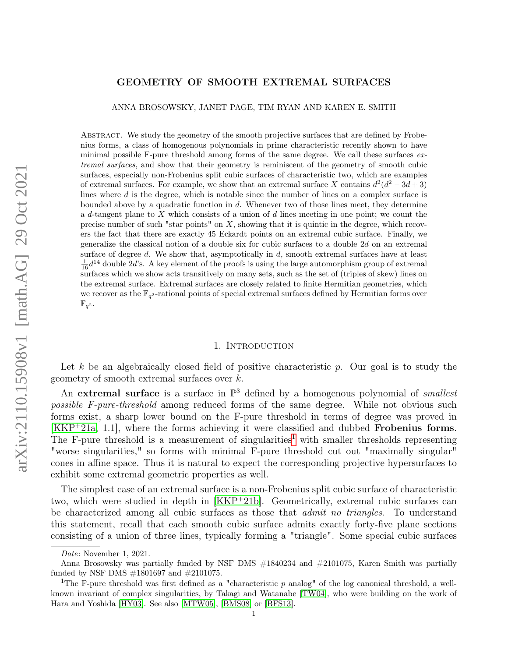# GEOMETRY OF SMOOTH EXTREMAL SURFACES

ANNA BROSOWSKY, JANET PAGE, TIM RYAN AND KAREN E. SMITH

Abstract. We study the geometry of the smooth projective surfaces that are defined by Frobenius forms, a class of homogenous polynomials in prime characteristic recently shown to have minimal possible F-pure threshold among forms of the same degree. We call these surfaces extremal surfaces, and show that their geometry is reminiscent of the geometry of smooth cubic surfaces, especially non-Frobenius split cubic surfaces of characteristic two, which are examples of extremal surfaces. For example, we show that an extremal surface X contains  $d^2(d^2-3d+3)$ lines where d is the degree, which is notable since the number of lines on a complex surface is bounded above by a quadratic function in d. Whenever two of those lines meet, they determine a d-tangent plane to  $X$  which consists of a union of  $d$  lines meeting in one point; we count the precise number of such "star points" on  $X$ , showing that it is quintic in the degree, which recovers the fact that there are exactly 45 Eckardt points on an extremal cubic surface. Finally, we generalize the classical notion of a double six for cubic surfaces to a double 2d on an extremal surface of degree  $d$ . We show that, asymptotically in  $d$ , smooth extremal surfaces have at least  $\frac{1}{16}d^{14}$  double 2d's. A key element of the proofs is using the large automorphism group of extremal surfaces which we show acts transitively on many sets, such as the set of (triples of skew) lines on the extremal surface. Extremal surfaces are closely related to finite Hermitian geometries, which we recover as the  $\mathbb{F}_{q^2}$ -rational points of special extremal surfaces defined by Hermitian forms over  $\mathbb{F}_{q^2}$ .

#### 1. INTRODUCTION

Let k be an algebraically closed field of positive characteristic p. Our goal is to study the geometry of smooth extremal surfaces over  $k$ .

An extremal surface is a surface in  $\mathbb{P}^3$  defined by a homogenous polynomial of *smallest* possible F-pure-threshold among reduced forms of the same degree. While not obvious such forms exist, a sharp lower bound on the F-pure threshold in terms of degree was proved in [\[KKP](#page-29-0)<sup>+</sup>21a, 1.1], where the forms achieving it were classified and dubbed Frobenius forms. The F-pure threshold is a measurement of singularities<sup>[1](#page-0-0)</sup> with smaller thresholds representing "worse singularities," so forms with minimal F-pure threshold cut out "maximally singular" cones in affine space. Thus it is natural to expect the corresponding projective hypersurfaces to exhibit some extremal geometric properties as well.

The simplest case of an extremal surface is a non-Frobenius split cubic surface of characteristic two, which were studied in depth in [\[KKP](#page-29-1)<sup>+</sup>21b]. Geometrically, extremal cubic surfaces can be characterized among all cubic surfaces as those that *admit no triangles*. To understand this statement, recall that each smooth cubic surface admits exactly forty-five plane sections consisting of a union of three lines, typically forming a "triangle". Some special cubic surfaces

Date: November 1, 2021.

Anna Brosowsky was partially funded by NSF DMS #1840234 and #2101075, Karen Smith was partially funded by NSF DMS #1801697 and #2101075.

<span id="page-0-0"></span><sup>&</sup>lt;sup>1</sup>The F-pure threshold was first defined as a "characteristic  $p$  analog" of the log canonical threshold, a wellknown invariant of complex singularities, by Takagi and Watanabe [\[TW04\]](#page-29-2), who were building on the work of Hara and Yoshida [\[HY03\]](#page-29-3). See also [\[MTW05\]](#page-29-4), [\[BMS08\]](#page-28-0) or [\[BFS13\]](#page-28-1).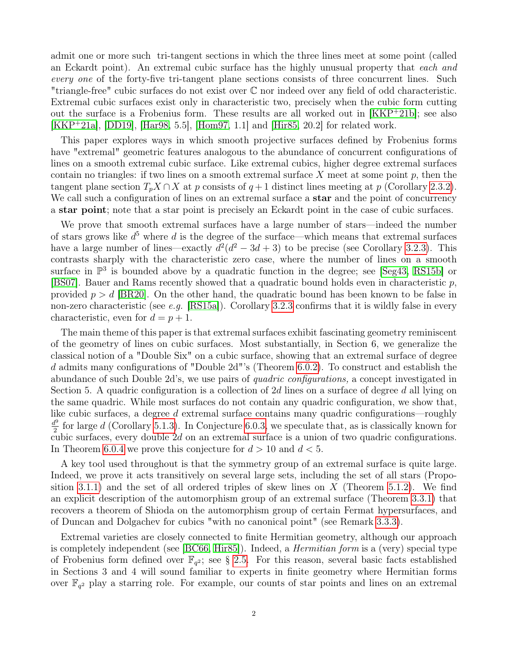admit one or more such tri-tangent sections in which the three lines meet at some point (called an Eckardt point). An extremal cubic surface has the highly unusual property that each and every one of the forty-five tri-tangent plane sections consists of three concurrent lines. Such "triangle-free" cubic surfaces do not exist over C nor indeed over any field of odd characteristic. Extremal cubic surfaces exist only in characteristic two, precisely when the cubic form cutting out the surface is a Frobenius form. These results are all worked out in [\[KKP](#page-29-1)<sup>+</sup>21b]; see also  $[KKP^+21a]$  $[KKP^+21a]$ ,  $[DD19]$ ,  $[Har98, 5.5]$  $[Har98, 5.5]$ ,  $[Hom97, 1.1]$  $[Hom97, 1.1]$  and  $[Hir85, 20.2]$  $[Hir85, 20.2]$  for related work.

This paper explores ways in which smooth projective surfaces defined by Frobenius forms have "extremal" geometric features analogous to the abundance of concurrent configurations of lines on a smooth extremal cubic surface. Like extremal cubics, higher degree extremal surfaces contain no triangles: if two lines on a smooth extremal surface  $X$  meet at some point  $p$ , then the tangent plane section  $T_pX \cap X$  at p consists of  $q+1$  distinct lines meeting at p (Corollary [2.3.2\)](#page-4-0). We call such a configuration of lines on an extremal surface a **star** and the point of concurrency a star point; note that a star point is precisely an Eckardt point in the case of cubic surfaces.

We prove that smooth extremal surfaces have a large number of stars—indeed the number of stars grows like  $d^5$  where d is the degree of the surface—which means that extremal surfaces have a large number of lines—exactly  $d^2(d^2 - 3d + 3)$  to be precise (see Corollary [3.2.3\)](#page-7-0). This contrasts sharply with the characteristic zero case, where the number of lines on a smooth surface in  $\mathbb{P}^3$  is bounded above by a quadratic function in the degree; see [\[Seg43,](#page-29-6) [RS15b\]](#page-29-7) or [\[BS07\]](#page-28-5). Bauer and Rams recently showed that a quadratic bound holds even in characteristic p, provided  $p > d$  [\[BR20\]](#page-28-6). On the other hand, the quadratic bound has been known to be false in non-zero characteristic (see e.g. [\[RS15a\]](#page-29-8)). Corollary [3.2.3](#page-7-0) confirms that it is wildly false in every characteristic, even for  $d = p + 1$ .

The main theme of this paper is that extremal surfaces exhibit fascinating geometry reminiscent of the geometry of lines on cubic surfaces. Most substantially, in Section 6, we generalize the classical notion of a "Double Six" on a cubic surface, showing that an extremal surface of degree d admits many configurations of "Double 2d"'s (Theorem [6.0.2\)](#page-21-0). To construct and establish the abundance of such Double 2d's, we use pairs of quadric configurations, a concept investigated in Section 5. A quadric configuration is a collection of 2d lines on a surface of degree d all lying on the same quadric. While most surfaces do not contain any quadric configuration, we show that, like cubic surfaces, a degree d extremal surface contains many quadric configurations—roughly  $d^9$  $\frac{p}{2}$  for large d (Corollary [5.1.3\)](#page-18-0). In Conjecture [6.0.3,](#page-21-1) we speculate that, as is classically known for cubic surfaces, every double 2d on an extremal surface is a union of two quadric configurations. In Theorem [6.0.4](#page-21-2) we prove this conjecture for  $d > 10$  and  $d < 5$ .

A key tool used throughout is that the symmetry group of an extremal surface is quite large. Indeed, we prove it acts transitively on several large sets, including the set of all stars (Propo-sition [3.1.1\)](#page-5-0) and the set of all ordered triples of skew lines on  $X$  (Theorem [5.1.2\)](#page-17-0). We find an explicit description of the automorphism group of an extremal surface (Theorem [3.3.1\)](#page-9-0) that recovers a theorem of Shioda on the automorphism group of certain Fermat hypersurfaces, and of Duncan and Dolgachev for cubics "with no canonical point" (see Remark [3.3.3\)](#page-10-0).

Extremal varieties are closely connected to finite Hermitian geometry, although our approach is completely independent (see  $|BC66, Hir85|$ ). Indeed, a *Hermitian form* is a (very) special type of Frobenius form defined over  $\mathbb{F}_{q^2}$ ; see § [2.5.](#page-5-1) For this reason, several basic facts established in Sections 3 and 4 will sound familiar to experts in finite geometry where Hermitian forms over  $\mathbb{F}_{q^2}$  play a starring role. For example, our counts of star points and lines on an extremal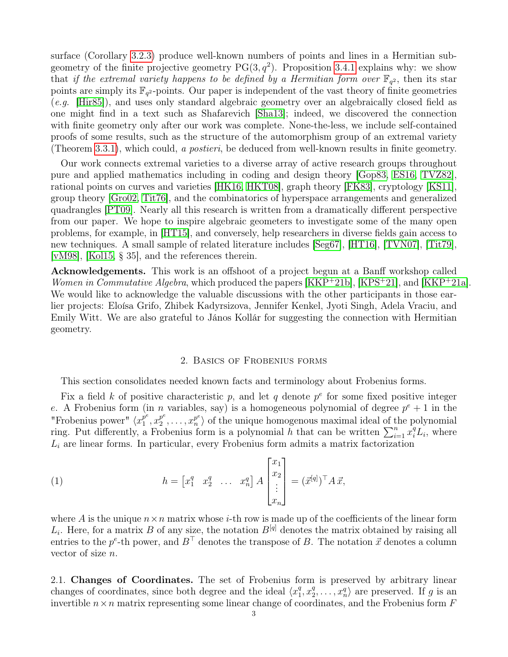surface (Corollary [3.2.3\)](#page-7-0) produce well-known numbers of points and lines in a Hermitian subgeometry of the finite projective geometry  $PG(3, q^2)$ . Proposition [3.4.1](#page-10-1) explains why: we show that if the extremal variety happens to be defined by a Hermitian form over  $\mathbb{F}_{q^2}$ , then its star points are simply its  $\mathbb{F}_{q^2}$ -points. Our paper is independent of the vast theory of finite geometries (e.g. [\[Hir85\]](#page-28-4)), and uses only standard algebraic geometry over an algebraically closed field as one might find in a text such as Shafarevich [\[Sha13\]](#page-29-9); indeed, we discovered the connection with finite geometry only after our work was complete. None-the-less, we include self-contained proofs of some results, such as the structure of the automorphism group of an extremal variety (Theorem [3.3.1\)](#page-9-0), which could, a postieri, be deduced from well-known results in finite geometry.

Our work connects extremal varieties to a diverse array of active research groups throughout pure and applied mathematics including in coding and design theory [\[Gop83,](#page-28-8) [ES16,](#page-28-9) [TVZ82\]](#page-29-10), rational points on curves and varieties [\[HK16,](#page-28-10) [HKT08\]](#page-28-11), graph theory [\[FK83\]](#page-28-12), cryptology [\[KS11\]](#page-29-11), group theory [\[Gro02,](#page-28-13) [Tit76\]](#page-29-12), and the combinatorics of hyperspace arrangements and generalized quadrangles [\[PT09\]](#page-29-13). Nearly all this research is written from a dramatically different perspective from our paper. We hope to inspire algebraic geometers to investigate some of the many open problems, for example, in [\[HT15\]](#page-29-14), and conversely, help researchers in diverse fields gain access to new techniques. A small sample of related literature includes [\[Seg67\]](#page-29-15), [\[HT16\]](#page-29-16), [\[TVN07\]](#page-29-17), [\[Tit79\]](#page-29-18), [\[vM98\]](#page-29-19), [\[Kol15,](#page-29-20) § 35], and the references therein.

Acknowledgements. This work is an offshoot of a project begun at a Banff workshop called Women in Commutative Algebra, which produced the papers [\[KKP](#page-29-0)+21b], [\[KPS](#page-29-21)+21], and [KKP+21a]. We would like to acknowledge the valuable discussions with the other participants in those earlier projects: Eloísa Grifo, Zhibek Kadyrsizova, Jennifer Kenkel, Jyoti Singh, Adela Vraciu, and Emily Witt. We are also grateful to János Kollár for suggesting the connection with Hermitian geometry.

### 2. Basics of Frobenius forms

This section consolidates needed known facts and terminology about Frobenius forms.

Fix a field k of positive characteristic p, and let q denote  $p^e$  for some fixed positive integer e. A Frobenius form (in *n* variables, say) is a homogeneous polynomial of degree  $p^e + 1$  in the "Frobenius power"  $\langle x_1^{p^e} \rangle$  $\stackrel{\rightarrow}{1}^e,x_2^{p^e}$  $x_2^{p^e}, \ldots, x_n^{p^e}$  $\binom{p^e}{n}$  of the unique homogenous maximal ideal of the polynomial ring. Put differently, a Frobenius form is a polynomial h that can be written  $\sum_{i=1}^{n} x_i^q L_i$ , where  $L_i$  are linear forms. In particular, every Frobenius form admits a matrix factorization

(1) 
$$
h = \begin{bmatrix} x_1^q & x_2^q & \dots & x_n^q \end{bmatrix} A \begin{bmatrix} x_1 \\ x_2 \\ \vdots \\ x_n \end{bmatrix} = (\vec{x}^{[q]})^\top A \, \vec{x},
$$

where A is the unique  $n \times n$  matrix whose *i*-th row is made up of the coefficients of the linear form  $L_i$ . Here, for a matrix B of any size, the notation  $B^{[q]}$  denotes the matrix obtained by raising all entries to the  $p^e$ -th power, and  $B^{\top}$  denotes the transpose of B. The notation  $\vec{x}$  denotes a column vector of size n.

<span id="page-2-0"></span>2.1. Changes of Coordinates. The set of Frobenius form is preserved by arbitrary linear changes of coordinates, since both degree and the ideal  $\langle x_1^q \rangle$  $^{q}_{1}, x_{2}^{q}$  $x_2^q, \ldots, x_n^q$  are preserved. If g is an invertible  $n \times n$  matrix representing some linear change of coordinates, and the Frobenius form  $F$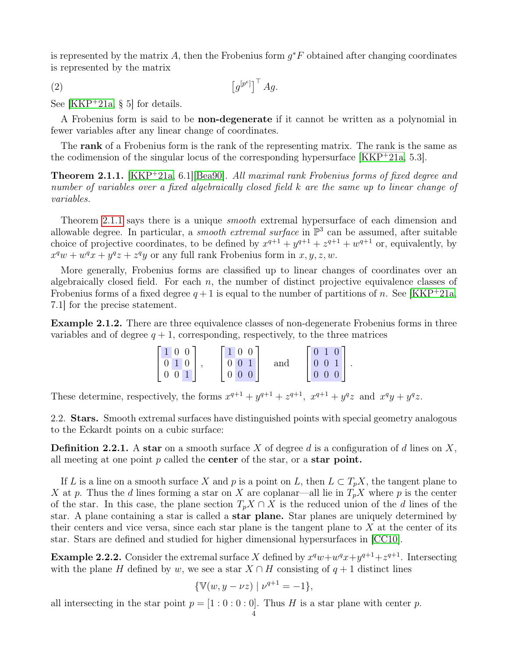is represented by the matrix A, then the Frobenius form  $g^*F$  obtained after changing coordinates is represented by the matrix

<span id="page-3-3"></span>
$$
\left[g^{[p^e]}\right]^\top Ag.
$$

See [\[KKP](#page-29-0)<sup>+</sup>21a, § 5] for details.

A Frobenius form is said to be **non-degenerate** if it cannot be written as a polynomial in fewer variables after any linear change of coordinates.

The rank of a Frobenius form is the rank of the representing matrix. The rank is the same as the codimension of the singular locus of the corresponding hypersurface [\[KKP](#page-29-0)<sup>+</sup>21a, 5.3].

<span id="page-3-0"></span>Theorem 2.1.1. [\[KKP](#page-29-0)<sup>+</sup>21a, 6.1][\[Bea90\]](#page-28-14). All maximal rank Frobenius forms of fixed degree and number of variables over a fixed algebraically closed field k are the same up to linear change of variables.

Theorem [2.1.1](#page-3-0) says there is a unique *smooth* extremal hypersurface of each dimension and allowable degree. In particular, a *smooth extremal surface* in  $\mathbb{P}^3$  can be assumed, after suitable choice of projective coordinates, to be defined by  $x^{q+1} + y^{q+1} + z^{q+1} + w^{q+1}$  or, equivalently, by  $x^q w + w^q x + y^q z + z^q y$  or any full rank Frobenius form in  $x, y, z, w$ .

More generally, Frobenius forms are classified up to linear changes of coordinates over an algebraically closed field. For each  $n$ , the number of distinct projective equivalence classes of Frobenius forms of a fixed degree  $q+1$  is equal to the number of partitions of n. See [\[KKP](#page-29-0)<sup>+</sup>21a, 7.1] for the precise statement.

<span id="page-3-2"></span>Example 2.1.2. There are three equivalence classes of non-degenerate Frobenius forms in three variables and of degree  $q + 1$ , corresponding, respectively, to the three matrices

| $1\vert 0\vert 0$                | $\vert 0 \vert$<br>$\mathbf{1}$<br>$\overline{0}$ |     | $\mathbf{1}$<br>$\overline{0}$ |                      |
|----------------------------------|---------------------------------------------------|-----|--------------------------------|----------------------|
| $\overline{0}$<br>10             | $\mathbf{1}$<br>0 <sup>0</sup>                    | and | $\overline{0}$<br>$\theta$     | $\ddot{\phantom{a}}$ |
| $\overline{0}$<br>$\overline{0}$ | $0\quad0\quad0$                                   |     | $0\quad0$                      |                      |

These determine, respectively, the forms  $x^{q+1} + y^{q+1} + z^{q+1}$ ,  $x^{q+1} + y^q z$  and  $x^q y + y^q z$ .

2.2. **Stars.** Smooth extremal surfaces have distinguished points with special geometry analogous to the Eckardt points on a cubic surface:

**Definition 2.2.1.** A star on a smooth surface X of degree d is a configuration of d lines on X, all meeting at one point  $p$  called the **center** of the star, or a **star point.** 

If L is a line on a smooth surface X and p is a point on L, then  $L \subset T_pX$ , the tangent plane to X at p. Thus the d lines forming a star on X are coplanar—all lie in  $T_pX$  where p is the center of the star. In this case, the plane section  $T_pX \cap X$  is the reduced union of the d lines of the star. A plane containing a star is called a star plane. Star planes are uniquely determined by their centers and vice versa, since each star plane is the tangent plane to  $X$  at the center of its star. Stars are defined and studied for higher dimensional hypersurfaces in [\[CC10\]](#page-28-15).

<span id="page-3-1"></span>**Example 2.2.2.** Consider the extremal surface X defined by  $x^q w + w^q x + y^{q+1} + z^{q+1}$ . Intersecting with the plane H defined by w, we see a star  $X \cap H$  consisting of  $q + 1$  distinct lines

$$
\{\mathbb{V}(w, y - \nu z) \mid \nu^{q+1} = -1\},\
$$

all intersecting in the star point  $p = [1 : 0 : 0 : 0]$ . Thus H is a star plane with center p.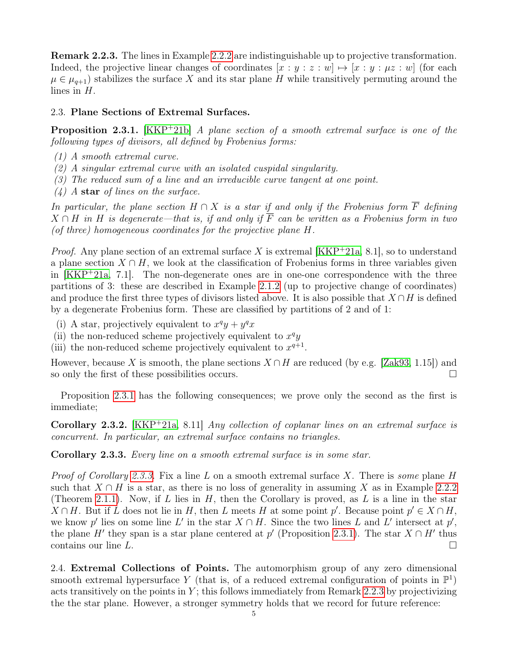<span id="page-4-3"></span>Remark 2.2.3. The lines in Example [2.2.2](#page-3-1) are indistinguishable up to projective transformation. Indeed, the projective linear changes of coordinates  $[x : y : z : w] \mapsto [x : y : \mu z : w]$  (for each  $\mu \in \mu_{q+1}$  stabilizes the surface X and its star plane H while transitively permuting around the lines in H.

## 2.3. Plane Sections of Extremal Surfaces.

<span id="page-4-1"></span>**Proposition 2.3.1.** [\[KKP](#page-29-1)+21b] A plane section of a smooth extremal surface is one of the following types of divisors, all defined by Frobenius forms:

- (1) A smooth extremal curve.
- (2) A singular extremal curve with an isolated cuspidal singularity.
- (3) The reduced sum of a line and an irreducible curve tangent at one point.
- $(4)$  A star of lines on the surface.

In particular, the plane section  $H \cap X$  is a star if and only if the Frobenius form  $\overline{F}$  defining  $X \cap H$  in H is degenerate—that is, if and only if  $\overline{F}$  can be written as a Frobenius form in two (of three) homogeneous coordinates for the projective plane H.

*Proof.* Any plane section of an extremal surface X is extremal  $[KKP^+21a, 8.1]$  $[KKP^+21a, 8.1]$ , so to understand a plane section  $X \cap H$ , we look at the classification of Frobenius forms in three variables given in  $[KKP^+21a, 7.1]$  $[KKP^+21a, 7.1]$ . The non-degenerate ones are in one-one correspondence with the three partitions of 3: these are described in Example [2.1.2](#page-3-2) (up to projective change of coordinates) and produce the first three types of divisors listed above. It is also possible that  $X \cap H$  is defined by a degenerate Frobenius form. These are classified by partitions of 2 and of 1:

- (i) A star, projectively equivalent to  $x^q y + y^q x$
- (ii) the non-reduced scheme projectively equivalent to  $x^q y$
- (iii) the non-reduced scheme projectively equivalent to  $x^{q+1}$ .

However, because X is smooth, the plane sections  $X \cap H$  are reduced (by e.g. [\[Zak93,](#page-30-0) 1.15]) and so only the first of these possibilities occurs.

Proposition [2.3.1](#page-4-1) has the following consequences; we prove only the second as the first is immediate;

<span id="page-4-0"></span>Corollary 2.3.2. [\[KKP](#page-29-0)<sup>+</sup>21a, 8.11] Any collection of coplanar lines on an extremal surface is concurrent. In particular, an extremal surface contains no triangles.

<span id="page-4-2"></span>Corollary 2.3.3. Every line on a smooth extremal surface is in some star.

*Proof of Corollary [2.3.3.](#page-4-2)* Fix a line L on a smooth extremal surface X. There is *some* plane H such that  $X \cap H$  is a star, as there is no loss of generality in assuming X as in Example [2.2.2](#page-3-1) (Theorem [2.1.1\)](#page-3-0). Now, if L lies in  $H$ , then the Corollary is proved, as L is a line in the star  $X \cap H$ . But if L does not lie in H, then L meets H at some point p'. Because point  $p' \in X \cap H$ , we know p' lies on some line L' in the star  $X \cap H$ . Since the two lines L and L' intersect at p', the plane H' they span is a star plane centered at p' (Proposition [2.3.1\)](#page-4-1). The star  $X \cap H'$  thus contains our line L.

2.4. Extremal Collections of Points. The automorphism group of any zero dimensional smooth extremal hypersurface Y (that is, of a reduced extremal configuration of points in  $\mathbb{P}^1$ ) acts transitively on the points in  $Y$ ; this follows immediately from Remark [2.2.3](#page-4-3) by projectivizing the the star plane. However, a stronger symmetry holds that we record for future reference: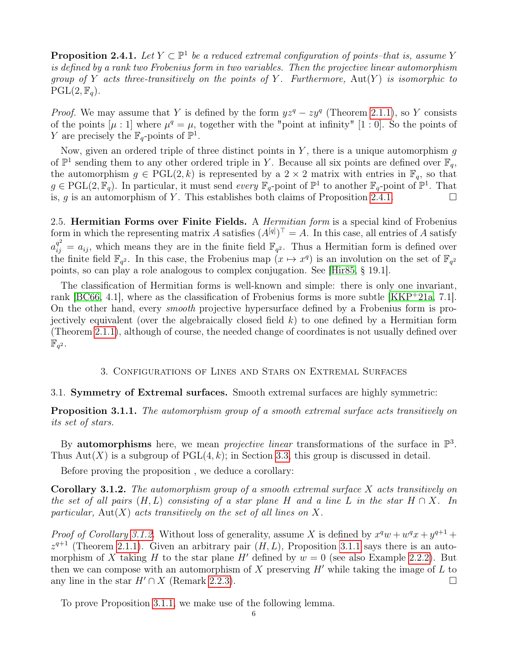<span id="page-5-2"></span>**Proposition 2.4.1.** Let  $Y \subset \mathbb{P}^1$  be a reduced extremal configuration of points–that is, assume Y is defined by a rank two Frobenius form in two variables. Then the projective linear automorphism group of Y acts three-transitively on the points of Y. Furthermore,  $Aut(Y)$  is isomorphic to  $PGL(2, \mathbb{F}_q).$ 

*Proof.* We may assume that Y is defined by the form  $yz^q - zy^q$  (Theorem [2.1.1\)](#page-3-0), so Y consists of the points  $[\mu : 1]$  where  $\mu^q = \mu$ , together with the "point at infinity" [1 : 0]. So the points of Y are precisely the  $\mathbb{F}_q$ -points of  $\mathbb{P}^1$ .

Now, given an ordered triple of three distinct points in  $Y$ , there is a unique automorphism  $g$ of  $\mathbb{P}^1$  sending them to any other ordered triple in Y. Because all six points are defined over  $\mathbb{F}_q$ , the automorphism  $g \in \text{PGL}(2, k)$  is represented by a  $2 \times 2$  matrix with entries in  $\mathbb{F}_q$ , so that  $g \in \text{PGL}(2, \mathbb{F}_q)$ . In particular, it must send every  $\mathbb{F}_q$ -point of  $\mathbb{P}^1$  to another  $\mathbb{F}_q$ -point of  $\mathbb{P}^1$ . That is, g is an automorphism of Y. This establishes both claims of Proposition [2.4.1.](#page-5-2)

<span id="page-5-1"></span>2.5. Hermitian Forms over Finite Fields. A *Hermitian form* is a special kind of Frobenius form in which the representing matrix A satisfies  $(A^{[q]})^{\top} = A$ . In this case, all entries of A satisfy  $a_{ij}^{q^2} = a_{ij}$ , which means they are in the finite field  $\mathbb{F}_{q^2}$ . Thus a Hermitian form is defined over the finite field  $\mathbb{F}_{q^2}$ . In this case, the Frobenius map  $(x \mapsto x^q)$  is an involution on the set of  $\mathbb{F}_{q^2}$ points, so can play a role analogous to complex conjugation. See [\[Hir85,](#page-28-4) § 19.1].

The classification of Hermitian forms is well-known and simple: there is only one invariant, rank  $[BC66, 4.1]$  $[BC66, 4.1]$ , where as the classification of Frobenius forms is more subtle  $[KKP^+21a, 7.1]$  $[KKP^+21a, 7.1]$ . On the other hand, every smooth projective hypersurface defined by a Frobenius form is projectively equivalent (over the algebraically closed field  $k$ ) to one defined by a Hermitian form (Theorem [2.1.1\)](#page-3-0), although of course, the needed change of coordinates is not usually defined over  $\mathbb{\dot{F}}_{q^2}.$ 

# 3. Configurations of Lines and Stars on Extremal Surfaces

# 3.1. Symmetry of Extremal surfaces. Smooth extremal surfaces are highly symmetric:

<span id="page-5-0"></span>Proposition 3.1.1. The automorphism group of a smooth extremal surface acts transitively on its set of stars.

By **automorphisms** here, we mean *projective linear* transformations of the surface in  $\mathbb{P}^3$ . Thus Aut $(X)$  is a subgroup of PGL $(4, k)$ ; in Section [3.3,](#page-9-1) this group is discussed in detail.

Before proving the proposition , we deduce a corollary:

<span id="page-5-3"></span>**Corollary 3.1.2.** The automorphism group of a smooth extremal surface  $X$  acts transitively on the set of all pairs  $(H, L)$  consisting of a star plane H and a line L in the star  $H \cap X$ . In particular, Aut $(X)$  acts transitively on the set of all lines on X.

*Proof of Corollary [3.1.2.](#page-5-3)* Without loss of generality, assume X is defined by  $x^q w + w^q x + y^{q+1} +$  $z^{q+1}$  (Theorem [2.1.1\)](#page-3-0). Given an arbitrary pair  $(H, L)$ , Proposition [3.1.1](#page-5-0) says there is an automorphism of X taking H to the star plane H' defined by  $w = 0$  (see also Example [2.2.2\)](#page-3-1). But then we can compose with an automorphism of X preserving  $H'$  while taking the image of L to any line in the star  $H' \cap X$  (Remark [2.2.3\)](#page-4-3).

To prove Proposition [3.1.1,](#page-5-0) we make use of the following lemma.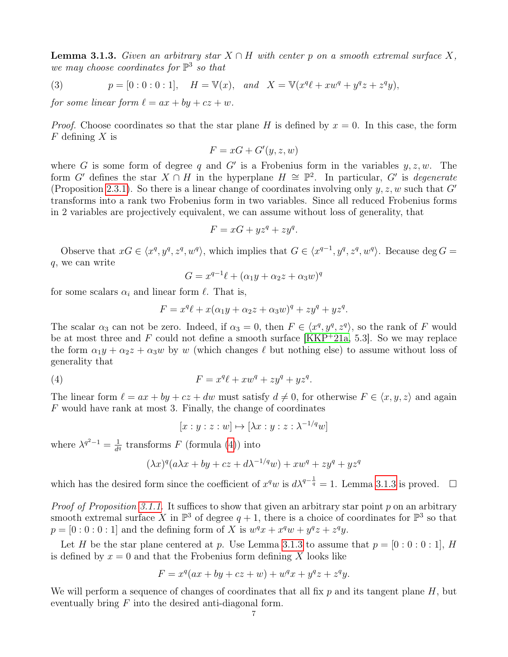<span id="page-6-1"></span>**Lemma 3.1.3.** Given an arbitrary star  $X \cap H$  with center p on a smooth extremal surface X, we may choose coordinates for  $\mathbb{P}^3$  so that

(3) 
$$
p = [0:0:0:1],
$$
  $H = \mathbb{V}(x),$  and  $X = \mathbb{V}(x^q \ell + x w^q + y^q z + z^q y),$ 

for some linear form  $\ell = ax + by + cz + w$ .

*Proof.* Choose coordinates so that the star plane H is defined by  $x = 0$ . In this case, the form  $F$  defining  $X$  is

$$
F = xG + G'(y, z, w)
$$

where G is some form of degree q and G' is a Frobenius form in the variables  $y, z, w$ . The form G' defines the star  $X \cap H$  in the hyperplane  $H \cong \mathbb{P}^2$ . In particular, G' is degenerate (Proposition [2.3.1\)](#page-4-1). So there is a linear change of coordinates involving only  $y, z, w$  such that  $G'$ transforms into a rank two Frobenius form in two variables. Since all reduced Frobenius forms in 2 variables are projectively equivalent, we can assume without loss of generality, that

$$
F = xG + yz^q + zy^q.
$$

Observe that  $xG \in \langle x^q, y^q, z^q, w^q \rangle$ , which implies that  $G \in \langle x^{q-1}, y^q, z^q, w^q \rangle$ . Because deg  $G =$ q, we can write

$$
G = x^{q-1}\ell + (\alpha_1 y + \alpha_2 z + \alpha_3 w)^q
$$

for some scalars  $\alpha_i$  and linear form  $\ell$ . That is,

$$
F = xq \ell + x(\alpha_1 y + \alpha_2 z + \alpha_3 w)^q + z y^q + y z^q.
$$

The scalar  $\alpha_3$  can not be zero. Indeed, if  $\alpha_3 = 0$ , then  $F \in \langle x^q, y^q, z^q \rangle$ , so the rank of F would be at most three and F could not define a smooth surface  $[KKP^+21a, 5.3]$  $[KKP^+21a, 5.3]$ . So we may replace the form  $\alpha_1 y + \alpha_2 z + \alpha_3 w$  by w (which changes  $\ell$  but nothing else) to assume without loss of generality that

$$
(4) \qquad \qquad F = x^q \ell + x w^q + z y^q + y z^q.
$$

The linear form  $\ell = ax + by + cz + dw$  must satisfy  $d \neq 0$ , for otherwise  $F \in \langle x, y, z \rangle$  and again F would have rank at most 3. Finally, the change of coordinates

<span id="page-6-0"></span>
$$
[x:y:z:w] \mapsto [\lambda x:y:z:\lambda^{-1/q}w]
$$

where  $\lambda^{q^2-1} = \frac{1}{d^q}$  $\frac{1}{d^q}$  transforms F (formula [\(4\)](#page-6-0)) into

$$
(\lambda x)^{q} (a\lambda x + by + cz + d\lambda^{-1/q}w) + xw^{q} + zy^{q} + yz^{q}
$$

which has the desired form since the coefficient of  $x^q w$  is  $d\lambda^{q-\frac{1}{q}} = 1$ . Lemma [3.1.3](#page-6-1) is proved.  $\Box$ 

*Proof of Proposition [3.1.1.](#page-5-0)* It suffices to show that given an arbitrary star point  $p$  on an arbitrary smooth extremal surface X in  $\mathbb{P}^3$  of degree  $q+1$ , there is a choice of coordinates for  $\mathbb{P}^3$  so that  $p = [0:0:0:1]$  and the defining form of X is  $w^q x + x^q w + y^q z + z^q y$ .

Let H be the star plane centered at p. Use Lemma [3.1.3](#page-6-1) to assume that  $p = [0:0:0:1]$ , H is defined by  $x = 0$  and that the Frobenius form defining X looks like

$$
F = x^{q}(ax + by + cz + w) + w^{q}x + y^{q}z + z^{q}y.
$$

We will perform a sequence of changes of coordinates that all fix  $p$  and its tangent plane  $H$ , but eventually bring  $F$  into the desired anti-diagonal form.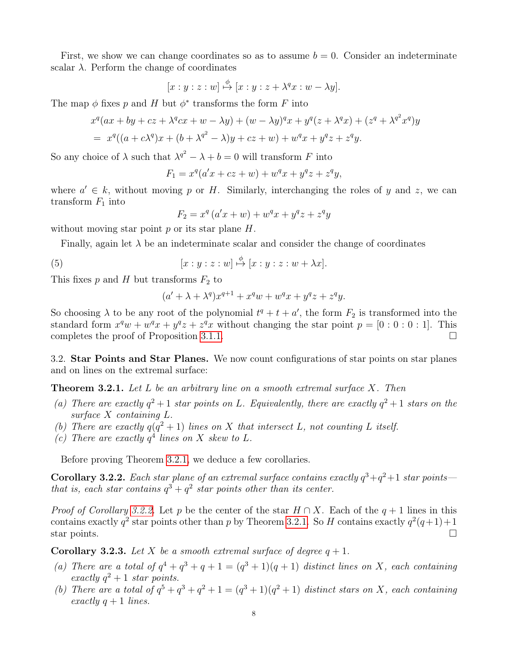First, we show we can change coordinates so as to assume  $b = 0$ . Consider an indeterminate scalar  $\lambda$ . Perform the change of coordinates

$$
[x:y:z:w] \stackrel{\phi}{\mapsto} [x:y:z+\lambda^q x:w-\lambda y].
$$

The map  $\phi$  fixes p and H but  $\phi^*$  transforms the form F into

$$
x^{q}(ax + by + cz + \lambda^{q}cx + w - \lambda y) + (w - \lambda y)^{q}x + y^{q}(z + \lambda^{q}x) + (z^{q} + \lambda^{q^{2}}x^{q})y
$$
  
= 
$$
x^{q}((a + c\lambda^{q})x + (b + \lambda^{q^{2}} - \lambda)y + cz + w) + w^{q}x + y^{q}z + z^{q}y.
$$

So any choice of  $\lambda$  such that  $\lambda^{q^2} - \lambda + b = 0$  will transform F into

$$
F_1 = x^q (a'x + cz + w) + w^q x + y^q z + z^q y,
$$

where  $a' \in k$ , without moving p or H. Similarly, interchanging the roles of y and z, we can transform  $F_1$  into

$$
F_2 = x^q (a'x + w) + w^q x + y^q z + z^q y
$$

without moving star point  $p$  or its star plane  $H$ .

Finally, again let  $\lambda$  be an indeterminate scalar and consider the change of coordinates

(5) 
$$
[x:y:z:w] \stackrel{\phi}{\mapsto} [x:y:z:w+\lambda x].
$$

This fixes  $p$  and  $H$  but transforms  $F_2$  to

$$
(a' + \lambda + \lambda^q)x^{q+1} + x^q w + w^q x + y^q z + z^q y.
$$

So choosing  $\lambda$  to be any root of the polynomial  $t^q + t + a'$ , the form  $F_2$  is transformed into the standard form  $x^q w + w^q x + y^q z + z^q x$  without changing the star point  $p = [0:0:0:1]$ . This completes the proof of Proposition [3.1.1.](#page-5-0)

3.2. Star Points and Star Planes. We now count configurations of star points on star planes and on lines on the extremal surface:

<span id="page-7-1"></span>**Theorem 3.2.1.** Let L be an arbitrary line on a smooth extremal surface X. Then

- (a) There are exactly  $q^2+1$  star points on L. Equivalently, there are exactly  $q^2+1$  stars on the surface X containing L.
- (b) There are exactly  $q(q^2+1)$  lines on X that intersect L, not counting L itself.
- (c) There are exactly  $q<sup>4</sup>$  lines on X skew to L.

Before proving Theorem [3.2.1,](#page-7-1) we deduce a few corollaries.

<span id="page-7-2"></span>**Corollary 3.2.2.** Each star plane of an extremal surface contains exactly  $q^3+q^2+1$  star points that is, each star contains  $q^3 + q^2$  star points other than its center.

*Proof of Corollary [3.2.2.](#page-7-2)* Let p be the center of the star  $H \cap X$ . Each of the  $q + 1$  lines in this contains exactly  $q^2$  star points other than p by Theorem [3.2.1.](#page-7-1) So H contains exactly  $q^2(q+1)+1$ star points.  $\Box$ 

<span id="page-7-0"></span>**Corollary 3.2.3.** Let X be a smooth extremal surface of degree  $q + 1$ .

- (a) There are a total of  $q^4 + q^3 + q + 1 = (q^3 + 1)(q + 1)$  distinct lines on X, each containing exactly  $q^2 + 1$  star points.
- (b) There are a total of  $q^5 + q^3 + q^2 + 1 = (q^3 + 1)(q^2 + 1)$  distinct stars on X, each containing exactly  $q + 1$  lines.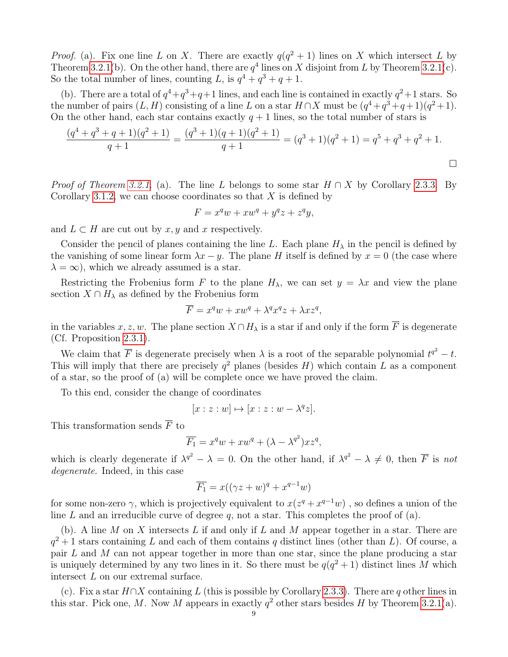*Proof.* (a). Fix one line L on X. There are exactly  $q(q^2 + 1)$  lines on X which intersect L by Theorem [3.2.1\(](#page-7-1)b). On the other hand, there are  $q<sup>4</sup>$  lines on X disjoint from L by Theorem 3.2.1(c). So the total number of lines, counting L, is  $q^4 + q^3 + q + 1$ .

(b). There are a total of  $q^4+q^3+q+1$  lines, and each line is contained in exactly  $q^2+1$  stars. So the number of pairs  $(L, H)$  consisting of a line L on a star  $H \cap X$  must be  $(q^4 + q^3 + q + 1)(q^2 + 1)$ . On the other hand, each star contains exactly  $q + 1$  lines, so the total number of stars is

$$
\frac{(q^4+q^3+q+1)(q^2+1)}{q+1} = \frac{(q^3+1)(q+1)(q^2+1)}{q+1} = (q^3+1)(q^2+1) = q^5+q^3+q^2+1.
$$

*Proof of Theorem [3.2.1.](#page-7-1)* (a). The line L belongs to some star  $H \cap X$  by Corollary [2.3.3.](#page-4-2) By Corollary [3.1.2,](#page-5-3) we can choose coordinates so that  $X$  is defined by

$$
F = x^q w + x w^q + y^q z + z^q y,
$$

and  $L \subset H$  are cut out by  $x, y$  and  $x$  respectively.

Consider the pencil of planes containing the line L. Each plane  $H_{\lambda}$  in the pencil is defined by the vanishing of some linear form  $\lambda x - y$ . The plane H itself is defined by  $x = 0$  (the case where  $\lambda = \infty$ , which we already assumed is a star.

Restricting the Frobenius form F to the plane  $H_{\lambda}$ , we can set  $y = \lambda x$  and view the plane section  $X \cap H_\lambda$  as defined by the Frobenius form

$$
\overline{F} = x^q w + x w^q + \lambda^q x^q z + \lambda x z^q,
$$

in the variables  $x, z, w$ . The plane section  $X \cap H_\lambda$  is a star if and only if the form  $\overline{F}$  is degenerate (Cf. Proposition [2.3.1\)](#page-4-1).

We claim that  $\overline{F}$  is degenerate precisely when  $\lambda$  is a root of the separable polynomial  $t^{q^2} - t$ . This will imply that there are precisely  $q^2$  planes (besides H) which contain L as a component of a star, so the proof of (a) will be complete once we have proved the claim.

To this end, consider the change of coordinates

$$
[x:z:w] \mapsto [x:z:w - \lambda^q z].
$$

This transformation sends  $\overline{F}$  to

$$
\overline{F_1} = x^q w + x w^q + (\lambda - \lambda^{q^2}) x z^q,
$$

which is clearly degenerate if  $\lambda^{q^2} - \lambda = 0$ . On the other hand, if  $\lambda^{q^2} - \lambda \neq 0$ , then  $\overline{F}$  is not degenerate. Indeed, in this case

$$
\overline{F_1} = x((\gamma z + w)^q + x^{q-1}w)
$$

for some non-zero  $\gamma$ , which is projectively equivalent to  $x(z^q + x^{q-1}w)$ , so defines a union of the line  $L$  and an irreducible curve of degree  $q$ , not a star. This completes the proof of  $(a)$ .

(b). A line  $M$  on  $X$  intersects  $L$  if and only if  $L$  and  $M$  appear together in a star. There are  $q^2+1$  stars containing L and each of them contains q distinct lines (other than L). Of course, a pair  $L$  and  $M$  can not appear together in more than one star, since the plane producing a star is uniquely determined by any two lines in it. So there must be  $q(q^2+1)$  distinct lines M which intersect L on our extremal surface.

(c). Fix a star  $H \cap X$  containing L (this is possible by Corollary [2.3.3\)](#page-4-2). There are q other lines in this star. Pick one, M. Now M appears in exactly  $q^2$  other stars besides H by Theorem [3.2.1\(](#page-7-1)a).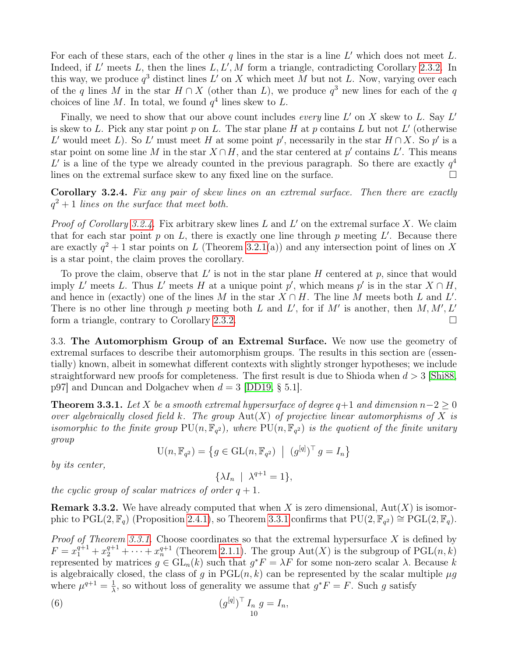For each of these stars, each of the other  $q$  lines in the star is a line  $L'$  which does not meet  $L$ . Indeed, if  $L'$  meets  $L$ , then the lines  $L, L', M$  form a triangle, contradicting Corollary [2.3.2.](#page-4-0) In this way, we produce  $q^3$  distinct lines  $L'$  on X which meet M but not L. Now, varying over each of the q lines M in the star  $H \cap X$  (other than L), we produce  $q^3$  new lines for each of the q choices of line M. In total, we found  $q<sup>4</sup>$  lines skew to L.

Finally, we need to show that our above count includes every line  $L'$  on X skew to L. Say  $L'$ is skew to L. Pick any star point p on L. The star plane H at p contains L but not L' (otherwise L' would meet L). So L' must meet H at some point p', necessarily in the star  $H \cap X$ . So p' is a star point on some line M in the star  $X \cap H$ , and the star centered at p' contains L'. This means L' is a line of the type we already counted in the previous paragraph. So there are exactly  $q^4$ lines on the extremal surface skew to any fixed line on the surface.  $\Box$ 

<span id="page-9-2"></span>Corollary 3.2.4. Fix any pair of skew lines on an extremal surface. Then there are exactly  $q^2 + 1$  lines on the surface that meet both.

*Proof of Corollary [3.2.4.](#page-9-2)* Fix arbitrary skew lines L and L' on the extremal surface X. We claim that for each star point  $p$  on  $L$ , there is exactly one line through  $p$  meeting  $L'$ . Because there are exactly  $q^2 + 1$  star points on L (Theorem [3.2.1\(](#page-7-1)a)) and any intersection point of lines on X is a star point, the claim proves the corollary.

To prove the claim, observe that  $L'$  is not in the star plane  $H$  centered at  $p$ , since that would imply L' meets L. Thus L' meets H at a unique point p', which means p' is in the star  $X \cap H$ , and hence in (exactly) one of the lines M in the star  $X \cap H$ . The line M meets both L and L'. There is no other line through p meeting both L and L', for if M' is another, then  $M, M', L'$ form a triangle, contrary to Corollary [2.3.2.](#page-4-0)

<span id="page-9-1"></span>3.3. The Automorphism Group of an Extremal Surface. We now use the geometry of extremal surfaces to describe their automorphism groups. The results in this section are (essentially) known, albeit in somewhat different contexts with slightly stronger hypotheses; we include straightforward new proofs for completeness. The first result is due to Shioda when  $d > 3$  [\[Shi88,](#page-29-22) p97] and Duncan and Dolgachev when  $d = 3$  [\[DD19,](#page-28-2) § 5.1].

<span id="page-9-0"></span>**Theorem 3.3.1.** Let X be a smooth extremal hypersurface of degree  $q+1$  and dimension  $n-2 \geq 0$ over algebraically closed field k. The group  $Aut(X)$  of projective linear automorphisms of X is isomorphic to the finite group  $PU(n, \mathbb{F}_{q^2})$ , where  $PU(n, \mathbb{F}_{q^2})$  is the quotient of the finite unitary group

$$
\mathrm{U}(n, \mathbb{F}_{q^2}) = \left\{ g \in \mathrm{GL}(n, \mathbb{F}_{q^2}) \mid (g^{[q]})^\top g = I_n \right\}
$$

by *its* center,

<span id="page-9-3"></span>
$$
\{\lambda I_n \ \mid \ \lambda^{q+1} = 1\},
$$

the cyclic group of scalar matrices of order  $q + 1$ .

<span id="page-9-4"></span>**Remark 3.3.2.** We have already computed that when X is zero dimensional,  $Aut(X)$  is isomorphic to  $PGL(2, \mathbb{F}_q)$  (Proposition [2.4.1\)](#page-5-2), so Theorem [3.3.1](#page-9-0) confirms that  $PU(2, \mathbb{F}_{q^2}) \cong PGL(2, \mathbb{F}_q)$ .

*Proof of Theorem [3.3.1.](#page-9-0)* Choose coordinates so that the extremal hypersurface  $X$  is defined by  $F = x_1^{q+1} + x_2^{q+1} + \cdots + x_n^{q+1}$  (Theorem [2.1.1\)](#page-3-0). The group Aut(X) is the subgroup of PGL $(n, k)$ represented by matrices  $g \in GL_n(k)$  such that  $g^*F = \lambda F$  for some non-zero scalar  $\lambda$ . Because k is algebraically closed, the class of g in  $PGL(n, k)$  can be represented by the scalar multiple  $\mu g$ where  $\mu^{q+1} = \frac{1}{\lambda}$  $\frac{1}{\lambda}$ , so without loss of generality we assume that  $g^*F = F$ . Such g satisfy

(6) 
$$
(g^{[q]})^{\top} I_n g = I_n,
$$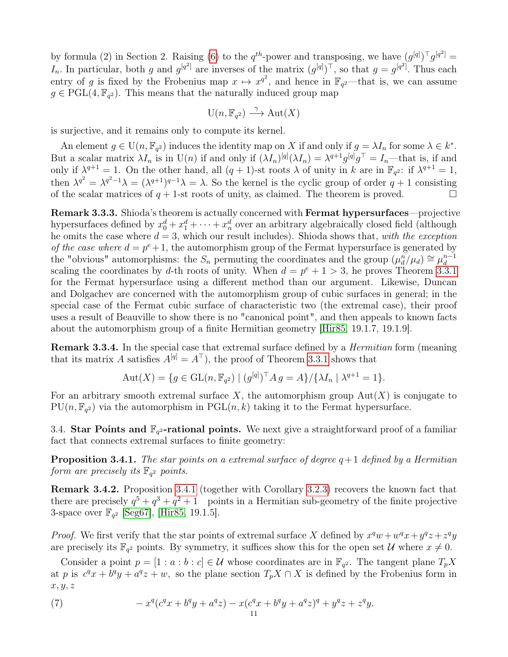by formula (2) in Section 2. Raising [\(6\)](#page-9-3) to the  $q^{th}$ -power and transposing, we have  $(g^{[q]})^{\top} g^{[q^2]} =$ I<sub>n</sub>. In particular, both g and  $g^{[q^2]}$  are inverses of the matrix  $(g^{[q]})^{\top}$ , so that  $g = g^{[q^2]}$ . Thus each entry of g is fixed by the Frobenius map  $x \mapsto x^{q^2}$ , and hence in  $\mathbb{F}_{q^2}$ —that is, we can assume  $g \in \text{PGL}(4, \mathbb{F}_{q^2})$ . This means that the naturally induced group map

$$
\mathrm{U}(n, \mathbb{F}_{q^2}) \xrightarrow{\gamma} \mathrm{Aut}(X)
$$

is surjective, and it remains only to compute its kernel.

An element  $g \in U(n, \mathbb{F}_{q^2})$  induces the identity map on X if and only if  $g = \lambda I_n$  for some  $\lambda \in k^*$ . But a scalar matrix  $\lambda I_n$  is in  $U(n)$  if and only if  $(\lambda I_n)^{[q]}(\lambda I_n) = \lambda^{q+1} g^{[q]} g^{\top} = I_n$ —that is, if and only if  $\lambda^{q+1} = 1$ . On the other hand, all  $(q + 1)$ -st roots  $\lambda$  of unity in k are in  $\mathbb{F}_{q^2}$ : if  $\lambda^{q+1} = 1$ , then  $\lambda^{q^2} = \lambda^{q^2-1}\lambda = (\lambda^{q+1})^{q-1}\lambda = \lambda$ . So the kernel is the cyclic group of order  $q+1$  consisting of the scalar matrices of  $q + 1$ -st roots of unity, as claimed. The theorem is proved.

<span id="page-10-0"></span>Remark 3.3.3. Shioda's theorem is actually concerned with Fermat hypersurfaces—projective hypersurfaces defined by  $x_0^d + x_1^d + \cdots + x_n^d$  over an arbitrary algebraically closed field (although he omits the case where  $d = 3$ , which our result includes). Shioda shows that, with the exception of the case where  $d = p^e + 1$ , the automorphism group of the Fermat hypersurface is generated by the "obvious" automorphisms: the  $S_n$  permuting the coordinates and the group  $(\mu_d^n/\mu_d) \cong \mu_d^{n-1}$ d scaling the coordinates by d-th roots of unity. When  $d = p^e + 1 > 3$ , he proves Theorem [3.3.1](#page-9-0) for the Fermat hypersurface using a different method than our argument. Likewise, Duncan and Dolgachev are concerned with the automorphism group of cubic surfaces in general; in the special case of the Fermat cubic surface of characteristic two (the extremal case), their proof uses a result of Beauville to show there is no "canonical point", and then appeals to known facts about the automorphism group of a finite Hermitian geometry [\[Hir85,](#page-28-4) 19.1.7, 19.1.9].

Remark 3.3.4. In the special case that extremal surface defined by a *Hermitian* form (meaning that its matrix A satisfies  $A^{[q]} = A^{\top}$ , the proof of Theorem [3.3.1](#page-9-0) shows that

$$
Aut(X) = \{ g \in GL(n, \mathbb{F}_{q^2}) \mid (g^{[q]})^{\top} A g = A \} / \{ \lambda I_n \mid \lambda^{q+1} = 1 \}.
$$

For an arbitrary smooth extremal surface X, the automorphism group  $Aut(X)$  is conjugate to  $PU(n, \mathbb{F}_{q^2})$  via the automorphism in  $PGL(n, k)$  taking it to the Fermat hypersurface.

3.4. Star Points and  $\mathbb{F}_{q^2}$ -rational points. We next give a straightforward proof of a familiar fact that connects extremal surfaces to finite geometry:

<span id="page-10-1"></span>**Proposition 3.4.1.** The star points on a extremal surface of degree  $q+1$  defined by a Hermitian form are precisely its  $\mathbb{F}_{q^2}$  points.

Remark 3.4.2. Proposition [3.4.1](#page-10-1) (together with Corollary [3.2.3\)](#page-7-0) recovers the known fact that there are precisely  $q^5 + q^3 + q^2 + 1$  points in a Hermitian sub-geometry of the finite projective 3-space over  $\mathbb{F}_{q^2}$  [\[Seg67\]](#page-29-15), [\[Hir85,](#page-28-4) 19.1.5].

*Proof.* We first verify that the star points of extremal surface X defined by  $x^q w + w^q x + y^q z + z^q y$ are precisely its  $\mathbb{F}_{q^2}$  points. By symmetry, it suffices show this for the open set U where  $x \neq 0$ .

Consider a point  $p = [1 : a : b : c] \in \mathcal{U}$  whose coordinates are in  $\mathbb{F}_{q^2}$ . The tangent plane  $T_p X$ at p is  $c^q x + b^q y + a^q z + w$ , so the plane section  $T_p X \cap X$  is defined by the Frobenius form in  $x, y, z$ 

<span id="page-10-2"></span>(7) 
$$
-x^q(c^qx+b^qy+a^qz)-x(c^qx+b^qy+a^qz)^q+y^qz+z^qy.
$$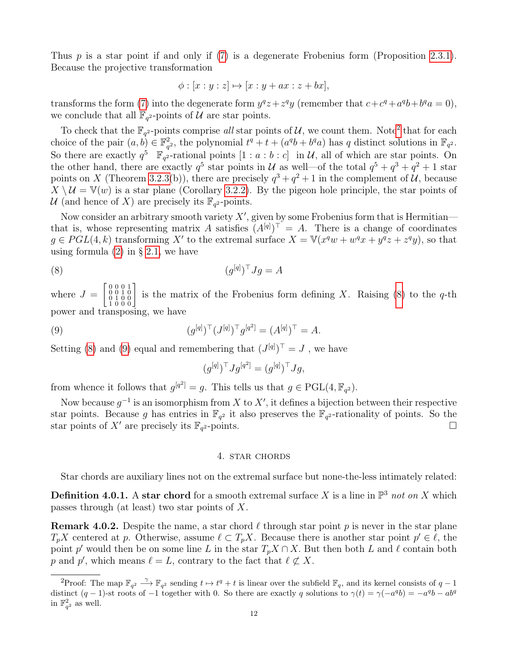Thus p is a star point if and only if [\(7\)](#page-10-2) is a degenerate Frobenius form (Proposition [2.3.1\)](#page-4-1). Because the projective transformation

$$
\phi : [x : y : z] \mapsto [x : y + ax : z + bx],
$$

transforms the form [\(7\)](#page-10-2) into the degenerate form  $y^qz + z^qy$  (remember that  $c + c^q + a^qb + b^qa = 0$ ), we conclude that all  $\mathbb{F}_{q^2}$ -points of  $\mathcal{U}$  are star points.

To check that the  $\mathbb{F}_{q^2}$  $\mathbb{F}_{q^2}$  $\mathbb{F}_{q^2}$ -points comprise all star points of U, we count them. Note<sup>2</sup> that for each choice of the pair  $(a, b) \in \mathbb{F}_q^2$  $q^2$ , the polynomial  $t^q + t + (a^q b + b^q a)$  has q distinct solutions in  $\mathbb{F}_{q^2}$ . So there are exactly  $q^5$   $\mathbb{F}_{q^2}$ -rational points  $[1 : a : b : c]$  in U, all of which are star points. On the other hand, there are exactly  $q^5$  star points in U as well—of the total  $q^5 + q^3 + q^2 + 1$  star points on X (Theorem [3.2.3\(](#page-7-0)b)), there are precisely  $q^3 + q^2 + 1$  in the complement of U, because  $X \setminus \mathcal{U} = \mathbb{V}(w)$  is a star plane (Corollary [3.2.2\)](#page-7-2). By the pigeon hole principle, the star points of U (and hence of X) are precisely its  $\mathbb{F}_{q^2}$ -points.

Now consider an arbitrary smooth variety  $X'$ , given by some Frobenius form that is Hermitian that is, whose representing matrix A satisfies  $(A^{[q]})^{\top} = A$ . There is a change of coordinates  $g \in PGL(4, k)$  transforming X' to the extremal surface  $X = \mathbb{V}(x^q w + w^q x + y^q z + z^q y)$ , so that using formula  $(2)$  in § [2.1,](#page-2-0) we have

$$
(8) \qquad \qquad (g^{[q]})^{\top} Jg = A
$$

where  $J =$  $\left[ \begin{smallmatrix} 0 & 0 & 0 & 1 \\ 0 & 0 & 1 & 0 \\ 0 & 1 & 0 & 0 \\ 1 & 0 & 0 & 0 \end{smallmatrix} \right]$ is the matrix of the Frobenius form defining X. Raising  $(8)$  to the q-th power and transposing, we have

(9) 
$$
(g^{[q]})^{\top} (J^{[q]})^{\top} g^{[q^2]} = (A^{[q]})^{\top} = A.
$$

Setting [\(8\)](#page-11-1) and [\(9\)](#page-11-2) equal and remembering that  $(J^{[q]})^{\top} = J$ , we have

<span id="page-11-2"></span><span id="page-11-1"></span>
$$
(g^{[q]})^{\top} J g^{[q^2]} = (g^{[q]})^{\top} J g,
$$

from whence it follows that  $g^{[q^2]} = g$ . This tells us that  $g \in \text{PGL}(4, \mathbb{F}_{q^2})$ .

Now because  $g^{-1}$  is an isomorphism from X to X', it defines a bijection between their respective star points. Because g has entries in  $\mathbb{F}_{q^2}$  it also preserves the  $\mathbb{F}_{q^2}$ -rationality of points. So the star points of X' are precisely its  $\mathbb{F}_{q^2}$ -points.

## 4. star chords

Star chords are auxiliary lines not on the extremal surface but none-the-less intimately related:

**Definition 4.0.1.** A star chord for a smooth extremal surface X is a line in  $\mathbb{P}^3$  not on X which passes through (at least) two star points of X.

<span id="page-11-3"></span>**Remark 4.0.2.** Despite the name, a star chord  $\ell$  through star point p is never in the star plane  $T_p X$  centered at p. Otherwise, assume  $\ell \subset T_p X$ . Because there is another star point  $p' \in \ell$ , the point p' would then be on some line L in the star  $T_pX \cap X$ . But then both L and  $\ell$  contain both p and p', which means  $\ell = L$ , contrary to the fact that  $\ell \not\subset X$ .

<span id="page-11-0"></span><sup>&</sup>lt;sup>2</sup>Proof: The map  $\mathbb{F}_{q^2} \stackrel{\gamma}{\longrightarrow} \mathbb{F}_{q^2}$  sending  $t \mapsto t^q + t$  is linear over the subfield  $\mathbb{F}_q$ , and its kernel consists of  $q-1$ distinct  $(q-1)$ -st roots of  $-1$  together with 0. So there are exactly q solutions to  $\gamma(t) = \gamma(-a^q b) = -a^q b - a b^q$ in  $\mathbb{F}_{q^2}^2$  as well.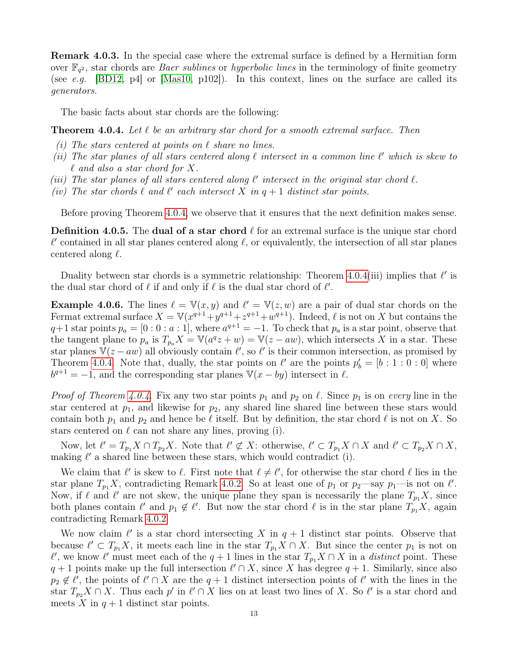Remark 4.0.3. In the special case where the extremal surface is defined by a Hermitian form over  $\mathbb{F}_{q^2}$ , star chords are *Baer sublines* or *hyperbolic lines* in the terminology of finite geometry (see e.g. [\[BD12,](#page-28-16) p4] or [\[Mas10,](#page-29-23) p102]). In this context, lines on the surface are called its generators.

The basic facts about star chords are the following:

<span id="page-12-0"></span>**Theorem 4.0.4.** Let  $\ell$  be an arbitrary star chord for a smooth extremal surface. Then

- (i) The stars centered at points on  $\ell$  share no lines.
- (ii) The star planes of all stars centered along  $\ell$  intersect in a common line  $\ell'$  which is skew to  $\ell$  and also a star chord for X.
- (iii) The star planes of all stars centered along  $\ell'$  intersect in the original star chord  $\ell$ .
- (iv) The star chords  $\ell$  and  $\ell'$  each intersect X in  $q + 1$  distinct star points.

Before proving Theorem [4.0.4,](#page-12-0) we observe that it ensures that the next definition makes sense.

<span id="page-12-1"></span>**Definition 4.0.5.** The **dual of a star chord**  $\ell$  for an extremal surface is the unique star chord  $\ell'$  contained in all star planes centered along  $\ell$ , or equivalently, the intersection of all star planes centered along  $\ell$ .

Duality between star chords is a symmetric relationship: Theorem [4.0.4\(](#page-12-0)iii) implies that  $\ell'$  is the dual star chord of  $\ell$  if and only if  $\ell$  is the dual star chord of  $\ell'$ .

<span id="page-12-2"></span>**Example 4.0.6.** The lines  $\ell = \mathbb{V}(x, y)$  and  $\ell' = \mathbb{V}(z, w)$  are a pair of dual star chords on the Fermat extremal surface  $X = V(x^{q+1} + y^{q+1} + z^{q+1} + w^{q+1})$ . Indeed,  $\ell$  is not on X but contains the  $q+1$  star points  $p_a = [0:0: a:1]$ , where  $a^{q+1} = -1$ . To check that  $p_a$  is a star point, observe that the tangent plane to  $p_a$  is  $T_{p_a}X = \mathbb{V}(a^qz + w) = \mathbb{V}(z - aw)$ , which intersects X in a star. These star planes  $\overline{V}(z - aw)$  all obviously contain  $\ell'$ , so  $\ell'$  is their common intersection, as promised by Theorem [4.0.4.](#page-12-0) Note that, dually, the star points on  $\ell'$  are the points  $p'_b = [b : 1 : 0 : 0]$  where  $b^{q+1} = -1$ , and the corresponding star planes  $\mathbb{V}(x - by)$  intersect in  $\ell$ .

*Proof of Theorem [4.0.4.](#page-12-0)* Fix any two star points  $p_1$  and  $p_2$  on  $\ell$ . Since  $p_1$  is on every line in the star centered at  $p_1$ , and likewise for  $p_2$ , any shared line shared line between these stars would contain both  $p_1$  and  $p_2$  and hence be  $\ell$  itself. But by definition, the star chord  $\ell$  is not on X. So stars centered on  $\ell$  can not share any lines, proving (i).

Now, let  $\ell' = T_{p_1} X \cap T_{p_2} X$ . Note that  $\ell' \not\subset X$ : otherwise,  $\ell' \subset T_{p_1} X \cap X$  and  $\ell' \subset T_{p_2} X \cap X$ , making  $\ell'$  a shared line between these stars, which would contradict (i).

We claim that  $\ell'$  is skew to  $\ell$ . First note that  $\ell \neq \ell'$ , for otherwise the star chord  $\ell$  lies in the star plane  $T_{p_1}X$ , contradicting Remark [4.0.2.](#page-11-3) So at least one of  $p_1$  or  $p_2$ —say  $p_1$ —is not on  $\ell'$ . Now, if  $\ell$  and  $\ell'$  are not skew, the unique plane they span is necessarily the plane  $T_{p_1}X$ , since both planes contain  $\ell'$  and  $p_1 \notin \ell'$ . But now the star chord  $\ell$  is in the star plane  $T_{p_1}X$ , again contradicting Remark [4.0.2.](#page-11-3)

We now claim  $\ell'$  is a star chord intersecting X in  $q + 1$  distinct star points. Observe that because  $\ell' \subset T_{p_1}X$ , it meets each line in the star  $T_{p_1}X \cap X$ . But since the center  $p_1$  is not on  $\ell'$ , we know  $\ell'$  must meet each of the  $q + 1$  lines in the star  $T_{p_1}X \cap X$  in a distinct point. These  $q + 1$  points make up the full intersection  $\ell' \cap X$ , since X has degree  $q + 1$ . Similarly, since also  $p_2 \notin \ell'$ , the points of  $\ell' \cap X$  are the  $q + 1$  distinct intersection points of  $\ell'$  with the lines in the star  $T_{p_2}X \cap X$ . Thus each  $p'$  in  $\ell' \cap X$  lies on at least two lines of X. So  $\ell'$  is a star chord and meets X in  $q+1$  distinct star points.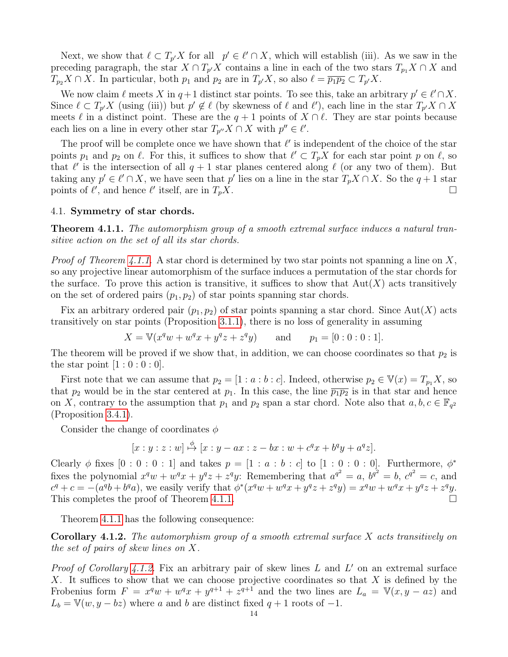Next, we show that  $\ell \subset T_{p'}X$  for all  $p' \in \ell' \cap X$ , which will establish (iii). As we saw in the preceding paragraph, the star  $X \cap T_{p'}X$  contains a line in each of the two stars  $T_{p_1}X \cap X$  and  $T_{p_2}X \cap X$ . In particular, both  $p_1$  and  $p_2$  are in  $T_{p'}X$ , so also  $\ell = \overline{p_1p_2} \subset T_{p'}X$ .

We now claim  $\ell$  meets X in  $q+1$  distinct star points. To see this, take an arbitrary  $p' \in \ell' \cap X$ . Since  $\ell \subset T_{p'}X$  (using (iii)) but  $p' \notin \ell$  (by skewness of  $\ell$  and  $\ell'$ ), each line in the star  $T_{p'}X \cap X$ meets  $\ell$  in a distinct point. These are the  $q + 1$  points of  $X \cap \ell$ . They are star points because each lies on a line in every other star  $T_{p''}X \cap X$  with  $p'' \in \ell'.$ 

The proof will be complete once we have shown that  $\ell'$  is independent of the choice of the star points  $p_1$  and  $p_2$  on  $\ell$ . For this, it suffices to show that  $\ell' \subset T_pX$  for each star point p on  $\ell$ , so that  $\ell'$  is the intersection of all  $q + 1$  star planes centered along  $\ell$  (or any two of them). But taking any  $p' \in \ell' \cap X$ , we have seen that p' lies on a line in the star  $T_p X \cap X$ . So the  $q + 1$  star points of  $\ell'$ , and hence  $\ell'$  itself, are in  $T_pX$ .

#### 4.1. Symmetry of star chords.

<span id="page-13-0"></span>Theorem 4.1.1. The automorphism group of a smooth extremal surface induces a natural transitive action on the set of all its star chords.

*Proof of Theorem [4.1.1.](#page-13-0)* A star chord is determined by two star points not spanning a line on X, so any projective linear automorphism of the surface induces a permutation of the star chords for the surface. To prove this action is transitive, it suffices to show that  $Aut(X)$  acts transitively on the set of ordered pairs  $(p_1, p_2)$  of star points spanning star chords.

Fix an arbitrary ordered pair  $(p_1, p_2)$  of star points spanning a star chord. Since Aut(X) acts transitively on star points (Proposition [3.1.1\)](#page-5-0), there is no loss of generality in assuming

$$
X = V(x^q w + w^q x + y^q z + z^q y)
$$
 and  $p_1 = [0:0:0:1].$ 

The theorem will be proved if we show that, in addition, we can choose coordinates so that  $p_2$  is the star point  $[1:0:0:0]$ .

First note that we can assume that  $p_2 = [1 : a : b : c]$ . Indeed, otherwise  $p_2 \in V(x) = T_{p_1}X$ , so that  $p_2$  would be in the star centered at  $p_1$ . In this case, the line  $\overline{p_1p_2}$  is in that star and hence on X, contrary to the assumption that  $p_1$  and  $p_2$  span a star chord. Note also that  $a, b, c \in \mathbb{F}_{q^2}$ (Proposition [3.4.1\)](#page-10-1).

Consider the change of coordinates  $\phi$ 

$$
[x:y:z:w] \stackrel{\phi}{\mapsto} [x:y-ax:z-bx:w+c^qx+b^qy+a^qz].
$$

Clearly  $\phi$  fixes  $[0:0:0:1]$  and takes  $p = [1:a:b:c]$  to  $[1:0:0:0]$ . Furthermore,  $\phi^*$ fixes the polynomial  $x^q w + w^q x + y^q z + z^q y$ : Remembering that  $a^{q^2} = a$ ,  $b^{q^2} = b$ ,  $c^{q^2} = c$ , and  $c^{q} + c = -(a^{q}b + b^{q}a)$ , we easily verify that  $\phi^{*}(x^{q}w + w^{q}x + y^{q}z + z^{q}y) = x^{q}w + w^{q}x + y^{q}z + z^{q}y$ . This completes the proof of Theorem [4.1.1.](#page-13-0)

Theorem [4.1.1](#page-13-0) has the following consequence:

<span id="page-13-1"></span>Corollary 4.1.2. The automorphism group of a smooth extremal surface X acts transitively on the set of pairs of skew lines on X.

Proof of Corollary [4.1.2.](#page-13-1) Fix an arbitrary pair of skew lines  $L$  and  $L'$  on an extremal surface X. It suffices to show that we can choose projective coordinates so that  $X$  is defined by the Frobenius form  $F = x^q w + w^q x + y^{q+1} + z^{q+1}$  and the two lines are  $L_a = V(x, y - az)$  and  $L_b = \mathbb{V}(w, y - bz)$  where a and b are distinct fixed  $q + 1$  roots of  $-1$ .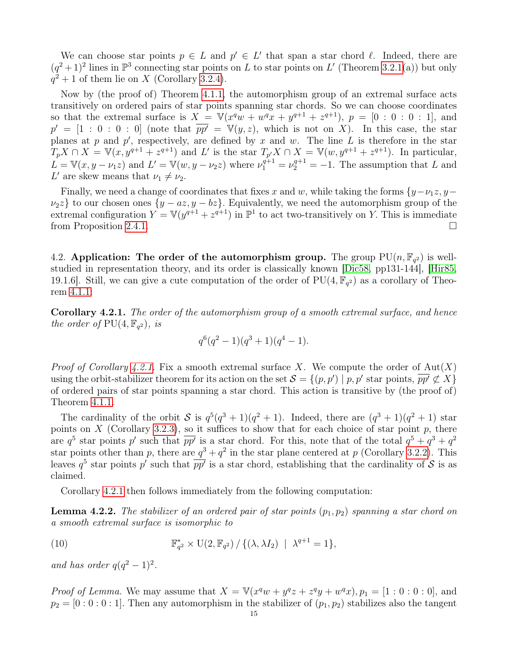We can choose star points  $p \in L$  and  $p' \in L'$  that span a star chord  $\ell$ . Indeed, there are  $(q^2+1)^2$  lines in  $\mathbb{P}^3$  connecting star points on L to star points on L' (Theorem [3.2.1\(](#page-7-1)a)) but only  $q^2 + 1$  of them lie on X (Corollary [3.2.4\)](#page-9-2).

Now by (the proof of) Theorem [4.1.1,](#page-13-0) the automorphism group of an extremal surface acts transitively on ordered pairs of star points spanning star chords. So we can choose coordinates so that the extremal surface is  $X = V(x^q w + w^q x + y^{q+1} + z^{q+1}), p = [0 : 0 : 0 : 1],$  and  $p' = [1 : 0 : 0 : 0]$  (note that  $\overline{pp'} = V(y, z)$ , which is not on X). In this case, the star planes at p and  $p'$ , respectively, are defined by x and w. The line L is therefore in the star  $T_p X \cap X = \mathbb{V}(x, y^{q+1} + z^{q+1})$  and L' is the star  $T_{p'} X \cap X = \mathbb{V}(w, y^{q+1} + z^{q+1})$ . In particular,  $L = \mathbb{V}(x, y - \nu_1 z)$  and  $L' = \mathbb{V}(w, y - \nu_2 z)$  where  $\nu_1^{q+1} = \nu_2^{q+1} = -1$ . The assumption that L and L' are skew means that  $\nu_1 \neq \nu_2$ .

Finally, we need a change of coordinates that fixes x and w, while taking the forms  $\{y-\nu_1z, y-\nu_2z\}$  $\nu_2 z$  to our chosen ones  $\{y - az, y - bz\}$ . Equivalently, we need the automorphism group of the extremal configuration  $Y = V(y^{q+1} + z^{q+1})$  in  $\mathbb{P}^1$  to act two-transitively on Y. This is immediate from Proposition [2.4.1.](#page-5-2)

4.2. Application: The order of the automorphism group. The group  $PU(n, \mathbb{F}_{q^2})$  is wellstudied in representation theory, and its order is classically known [\[Dic58,](#page-28-17) pp131-144], [\[Hir85,](#page-28-4) 19.1.6. Still, we can give a cute computation of the order of  $PU(4, \mathbb{F}_{q^2})$  as a corollary of Theorem [4.1.1:](#page-13-0)

<span id="page-14-0"></span>Corollary 4.2.1. The order of the automorphism group of a smooth extremal surface, and hence the order of  $PU(4, \mathbb{F}_{q^2})$ , is

$$
q^{6}(q^{2}-1)(q^{3}+1)(q^{4}-1).
$$

*Proof of Corollary [4.2.1.](#page-14-0)* Fix a smooth extremal surface X. We compute the order of  $Aut(X)$ using the orbit-stabilizer theorem for its action on the set  $\mathcal{S} = \{(p, p') \mid p, p' \text{ star points}, \overline{pp'} \not\subset X\}$ of ordered pairs of star points spanning a star chord. This action is transitive by (the proof of) Theorem [4.1.1.](#page-13-0)

The cardinality of the orbit S is  $q^5(q^3+1)(q^2+1)$ . Indeed, there are  $(q^3+1)(q^2+1)$  star points on  $X$  (Corollary [3.2.3\)](#page-7-0), so it suffices to show that for each choice of star point  $p$ , there are  $q^5$  star points p' such that  $\overline{pp'}$  is a star chord. For this, note that of the total  $q^5 + q^3 + q^2$ star points other than p, there are  $q^3 + q^2$  in the star plane centered at p (Corollary [3.2.2\)](#page-7-2). This leaves  $q^5$  star points p' such that  $p\overline{p}$  is a star chord, establishing that the cardinality of S is as claimed.

Corollary [4.2.1](#page-14-0) then follows immediately from the following computation:

**Lemma 4.2.2.** The stabilizer of an ordered pair of star points  $(p_1, p_2)$  spanning a star chord on a smooth extremal surface is isomorphic to

(10) 
$$
\mathbb{F}_{q^2}^* \times \mathrm{U}(2, \mathbb{F}_{q^2}) / \{(\lambda, \lambda I_2) \mid \lambda^{q+1} = 1\},
$$

and has order  $q(q^2-1)^2$ .

*Proof of Lemma*. We may assume that  $X = \mathbb{V}(x^q w + y^q z + z^q y + w^q x), p_1 = [1:0:0:0]$ , and  $p_2 = [0:0:0:1]$ . Then any automorphism in the stabilizer of  $(p_1, p_2)$  stabilizes also the tangent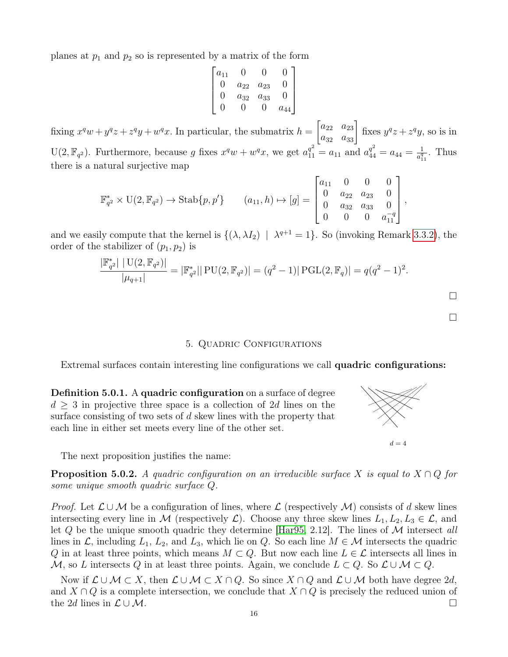planes at  $p_1$  and  $p_2$  so is represented by a matrix of the form

$$
\begin{bmatrix} a_{11} & 0 & 0 & 0 \ 0 & a_{22} & a_{23} & 0 \ 0 & a_{32} & a_{33} & 0 \ 0 & 0 & 0 & a_{44} \end{bmatrix}
$$

fixing  $x^q w + y^q z + z^q y + w^q x$ . In particular, the submatrix  $h = \begin{bmatrix} a_{22} & a_{23} \\ a_{32} & a_{33} \end{bmatrix}$  fixes  $y^q z + z^q y$ , so is in U(2,  $\mathbb{F}_{q^2}$ ). Furthermore, because g fixes  $x^q w + w^q x$ , we get  $a_{11}^{q^2} = a_{11}$  and  $a_{44}^{q^2} = a_{44} = \frac{1}{a_1^q}$  $\frac{1}{a_{11}^q}$ . Thus there is a natural surjective map

$$
\mathbb{F}_{q^2}^* \times \mathrm{U}(2, \mathbb{F}_{q^2}) \to \mathrm{Stab}\{p, p'\} \qquad (a_{11}, h) \mapsto [g] = \begin{bmatrix} a_{11} & 0 & 0 & 0 \\ 0 & a_{22} & a_{23} & 0 \\ 0 & a_{32} & a_{33} & 0 \\ 0 & 0 & 0 & a_{11}^{-q} \end{bmatrix},
$$

and we easily compute that the kernel is  $\{(\lambda, \lambda I_2) \mid \lambda^{q+1} = 1\}$ . So (invoking Remark [3.3.2\)](#page-9-4), the order of the stabilizer of  $(p_1, p_2)$  is

$$
\frac{|\mathbb{F}_{q^2}^*| |U(2, \mathbb{F}_{q^2})|}{|\mu_{q+1}|} = |\mathbb{F}_{q^2}^*| |PU(2, \mathbb{F}_{q^2})| = (q^2 - 1)| PGL(2, \mathbb{F}_q)| = q(q^2 - 1)^2.
$$

 $\Box$ 

 $\Box$ 

## 5. Quadric Configurations

Extremal surfaces contain interesting line configurations we call quadric configurations:

Definition 5.0.1. A quadric configuration on a surface of degree  $d \geq 3$  in projective three space is a collection of 2d lines on the surface consisting of two sets of d skew lines with the property that each line in either set meets every line of the other set.

The next proposition justifies the name:

**Proposition 5.0.2.** A quadric configuration on an irreducible surface X is equal to  $X \cap Q$  for some unique smooth quadric surface Q.

*Proof.* Let  $\mathcal{L} \cup \mathcal{M}$  be a configuration of lines, where  $\mathcal{L}$  (respectively  $\mathcal{M}$ ) consists of d skew lines intersecting every line in M (respectively  $\mathcal{L}$ ). Choose any three skew lines  $L_1, L_2, L_3 \in \mathcal{L}$ , and let Q be the unique smooth quadric they determine [\[Har95,](#page-28-18) 2.12]. The lines of  $\cal{M}$  intersect all lines in  $\mathcal{L}$ , including  $L_1$ ,  $L_2$ , and  $L_3$ , which lie on  $Q$ . So each line  $M \in \mathcal{M}$  intersects the quadric Q in at least three points, which means  $M \subset Q$ . But now each line  $L \in \mathcal{L}$  intersects all lines in M, so L intersects Q in at least three points. Again, we conclude  $L \subset Q$ . So  $\mathcal{L} \cup \mathcal{M} \subset Q$ .

Now if  $\mathcal{L} \cup \mathcal{M} \subset X$ , then  $\mathcal{L} \cup \mathcal{M} \subset X \cap Q$ . So since  $X \cap Q$  and  $\mathcal{L} \cup \mathcal{M}$  both have degree 2d, and  $X \cap Q$  is a complete intersection, we conclude that  $X \cap Q$  is precisely the reduced union of the 2d lines in  $\mathcal{L} \cup \mathcal{M}$ .



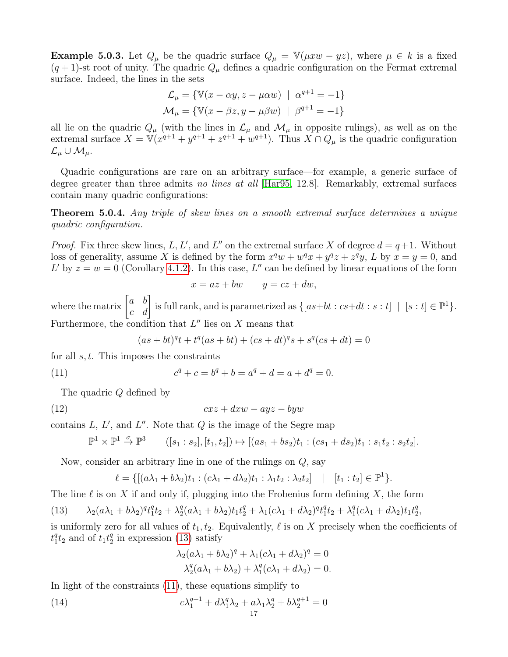<span id="page-16-4"></span>**Example 5.0.3.** Let  $Q_{\mu}$  be the quadric surface  $Q_{\mu} = \mathbb{V}(\mu x w - yz)$ , where  $\mu \in k$  is a fixed  $(q + 1)$ -st root of unity. The quadric  $Q_{\mu}$  defines a quadric configuration on the Fermat extremal surface. Indeed, the lines in the sets

$$
\mathcal{L}_{\mu} = \{ \mathbb{V}(x - \alpha y, z - \mu \alpha w) \mid \alpha^{q+1} = -1 \}
$$

$$
\mathcal{M}_{\mu} = \{ \mathbb{V}(x - \beta z, y - \mu \beta w) \mid \beta^{q+1} = -1 \}
$$

all lie on the quadric  $Q_{\mu}$  (with the lines in  $\mathcal{L}_{\mu}$  and  $\mathcal{M}_{\mu}$  in opposite rulings), as well as on the extremal surface  $X = V(x^{q+1} + y^{q+1} + z^{q+1} + w^{q+1})$ . Thus  $X \cap Q_\mu$  is the quadric configuration  $\mathcal{L}_{\mu}\cup\mathcal{M}_{\mu}$ .

Quadric configurations are rare on an arbitrary surface—for example, a generic surface of degree greater than three admits no lines at all [\[Har95,](#page-28-18) 12.8]. Remarkably, extremal surfaces contain many quadric configurations:

<span id="page-16-3"></span>Theorem 5.0.4. Any triple of skew lines on a smooth extremal surface determines a unique quadric configuration.

*Proof.* Fix three skew lines, L, L', and L'' on the extremal surface X of degree  $d = q+1$ . Without loss of generality, assume X is defined by the form  $x^q w + w^q x + y^q z + z^q y$ , L by  $x = y = 0$ , and L' by  $z = w = 0$  (Corollary [4.1.2\)](#page-13-1). In this case, L'' can be defined by linear equations of the form

$$
x = az + bw \t y = cz + dw,
$$

where the matrix  $\begin{bmatrix} a & b \ c & d \end{bmatrix}$  is full rank, and is parametrized as  $\{[as+bt: cs+dt:s:t] \mid [s:t] \in \mathbb{P}^1\}.$ Furthermore, the condition that  $L''$  lies on X means that

<span id="page-16-1"></span>
$$
(as + bt)qt + tq(as + bt) + (cs + dt)qs + sq(cs + dt) = 0
$$

for all  $s, t$ . This imposes the constraints

(11) 
$$
c^q + c = b^q + b = a^q + d = a + d^q = 0.
$$

The quadric Q defined by

(12) cxz + dxw − ayz − byw

contains  $L, L',$  and  $L''$ . Note that  $Q$  is the image of the Segre map

$$
\mathbb{P}^1 \times \mathbb{P}^1 \stackrel{\sigma}{\to} \mathbb{P}^3 \qquad ([s_1:s_2], [t_1,t_2]) \mapsto [(as_1+bs_2)t_1:(cs_1+ds_2)t_1:s_1t_2:s_2t_2].
$$

Now, consider an arbitrary line in one of the rulings on Q, say

$$
\ell = \{ [(a\lambda_1 + b\lambda_2)t_1 : (c\lambda_1 + d\lambda_2)t_1 : \lambda_1t_2 : \lambda_2t_2] \mid [t_1 : t_2] \in \mathbb{P}^1 \}.
$$

The line  $\ell$  is on X if and only if, plugging into the Frobenius form defining X, the form

<span id="page-16-0"></span>(13) 
$$
\lambda_2(a\lambda_1+b\lambda_2)^q t_1^q t_2 + \lambda_2^q (a\lambda_1+b\lambda_2) t_1 t_2^q + \lambda_1 (c\lambda_1+d\lambda_2)^q t_1^q t_2 + \lambda_1^q (c\lambda_1+d\lambda_2) t_1 t_2^q,
$$

is uniformly zero for all values of  $t_1, t_2$ . Equivalently,  $\ell$  is on X precisely when the coefficients of  $t_1^q$  $_1^q t_2$  and of  $t_1 t_2^q$  $\frac{q}{2}$  in expression [\(13\)](#page-16-0) satisfy

<span id="page-16-2"></span>
$$
\lambda_2(a\lambda_1 + b\lambda_2)^q + \lambda_1(c\lambda_1 + d\lambda_2)^q = 0
$$
  

$$
\lambda_2^q(a\lambda_1 + b\lambda_2) + \lambda_1^q(c\lambda_1 + d\lambda_2) = 0.
$$

In light of the constraints [\(11\)](#page-16-1), these equations simplify to

(14) 
$$
c\lambda_1^{q+1} + d\lambda_1^q \lambda_2 + a\lambda_1 \lambda_2^q + b\lambda_2^{q+1} = 0
$$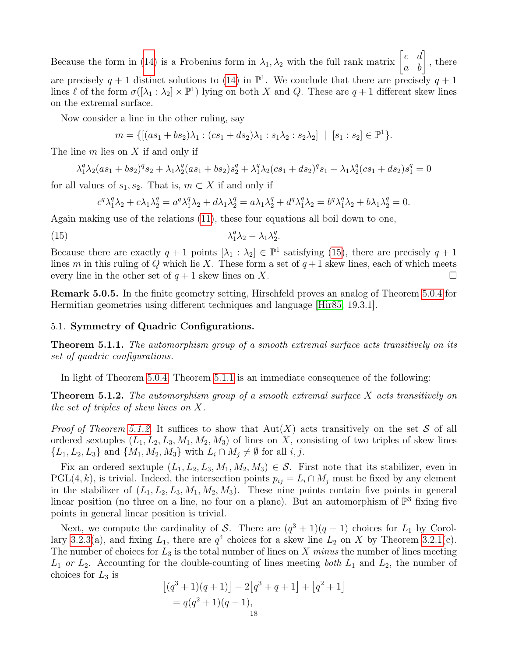Because the form in [\(14\)](#page-16-2) is a Frobenius form in  $\lambda_1, \lambda_2$  with the full rank matrix  $\begin{bmatrix} c & d \\ a & b \end{bmatrix}$ , there are precisely  $q + 1$  distinct solutions to [\(14\)](#page-16-2) in  $\mathbb{P}^1$ . We conclude that there are precisely  $q + 1$ lines  $\ell$  of the form  $\sigma([\lambda_1 : \lambda_2] \times \mathbb{P}^1)$  lying on both X and Q. These are  $q+1$  different skew lines on the extremal surface.

Now consider a line in the other ruling, say

$$
m = \{ [(as_1 + bs_2)\lambda_1 : (cs_1 + ds_2)\lambda_1 : s_1\lambda_2 : s_2\lambda_2] \mid [s_1 : s_2] \in \mathbb{P}^1 \}.
$$

The line m lies on X if and only if

$$
\lambda_1^q \lambda_2 (as_1 + bs_2)^q s_2 + \lambda_1 \lambda_2^q (as_1 + bs_2) s_2^q + \lambda_1^q \lambda_2 (cs_1 + ds_2)^q s_1 + \lambda_1 \lambda_2^q (cs_1 + ds_2) s_1^q = 0
$$

for all values of  $s_1, s_2$ . That is,  $m \subset X$  if and only if

<span id="page-17-1"></span>
$$
c^q \lambda_1^q \lambda_2 + c \lambda_1 \lambda_2^q = a^q \lambda_1^q \lambda_2 + d \lambda_1 \lambda_2^q = a \lambda_1 \lambda_2^q + d^q \lambda_1^q \lambda_2 = b^q \lambda_1^q \lambda_2 + b \lambda_1 \lambda_2^q = 0.
$$

Again making use of the relations [\(11\)](#page-16-1), these four equations all boil down to one,

$$
\lambda_1^q \lambda_2 - \lambda_1 \lambda_2^q.
$$

Because there are exactly  $q + 1$  points  $[\lambda_1 : \lambda_2] \in \mathbb{P}^1$  satisfying [\(15\)](#page-17-1), there are precisely  $q + 1$ lines m in this ruling of Q which lie X. These form a set of  $q+1$  skew lines, each of which meets every line in the other set of  $q + 1$  skew lines on X.

Remark 5.0.5. In the finite geometry setting, Hirschfeld proves an analog of Theorem [5.0.4](#page-16-3) for Hermitian geometries using different techniques and language [\[Hir85,](#page-28-4) 19.3.1].

### 5.1. Symmetry of Quadric Configurations.

<span id="page-17-2"></span>**Theorem 5.1.1.** The automorphism group of a smooth extremal surface acts transitively on its set of quadric configurations.

In light of Theorem [5.0.4,](#page-16-3) Theorem [5.1.1](#page-17-2) is an immediate consequence of the following:

<span id="page-17-0"></span>**Theorem 5.1.2.** The automorphism group of a smooth extremal surface  $X$  acts transitively on the set of triples of skew lines on X.

*Proof of Theorem [5.1.2.](#page-17-0)* It suffices to show that  $Aut(X)$  acts transitively on the set S of all ordered sextuples  $(L_1, L_2, L_3, M_1, M_2, M_3)$  of lines on X, consisting of two triples of skew lines  $\{L_1, L_2, L_3\}$  and  $\{M_1, M_2, M_3\}$  with  $L_i \cap M_j \neq \emptyset$  for all i, j.

Fix an ordered sextuple  $(L_1, L_2, L_3, M_1, M_2, M_3) \in \mathcal{S}$ . First note that its stabilizer, even in PGL(4, k), is trivial. Indeed, the intersection points  $p_{ij} = L_i \cap M_j$  must be fixed by any element in the stabilizer of  $(L_1, L_2, L_3, M_1, M_2, M_3)$ . These nine points contain five points in general linear position (no three on a line, no four on a plane). But an automorphism of  $\mathbb{P}^3$  fixing five points in general linear position is trivial.

Next, we compute the cardinality of S. There are  $(q^3 + 1)(q + 1)$  choices for  $L_1$  by Corol-lary [3.2.3\(](#page-7-0)a), and fixing  $L_1$ , there are  $q^4$  choices for a skew line  $L_2$  on X by Theorem [3.2.1\(](#page-7-1)c). The number of choices for  $L_3$  is the total number of lines on X minus the number of lines meeting  $L_1$  or  $L_2$ . Accounting for the double-counting of lines meeting both  $L_1$  and  $L_2$ , the number of choices for  $L_3$  is

$$
[(q3 + 1)(q + 1)] - 2[q3 + q + 1] + [q2 + 1]
$$
  
= q(q<sup>2</sup> + 1)(q - 1),  
18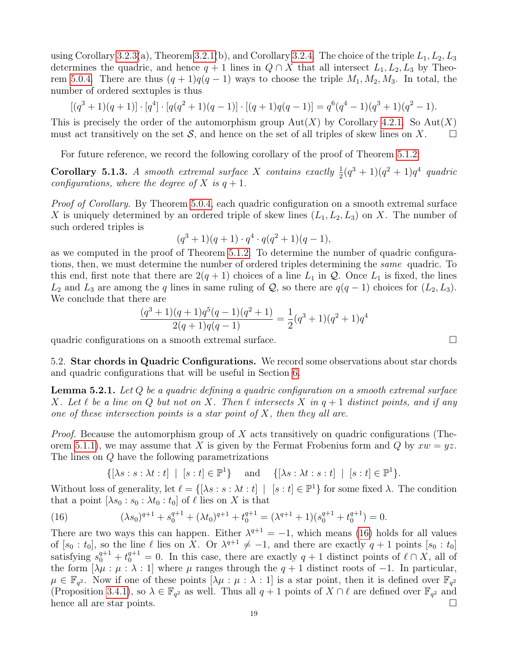using Corollary [3.2.3\(](#page-7-0)a), Theorem [3.2.1\(](#page-7-1)b), and Corollary [3.2.4.](#page-9-2) The choice of the triple  $L_1, L_2, L_3$ determines the quadric, and hence  $q + 1$  lines in  $Q \cap X$  that all intersect  $L_1, L_2, L_3$  by Theo-rem [5.0.4.](#page-16-3) There are thus  $(q + 1)q(q - 1)$  ways to choose the triple  $M_1, M_2, M_3$ . In total, the number of ordered sextuples is thus

$$
[(q^3+1)(q+1)] \cdot [q^4] \cdot [q(q^2+1)(q-1)] \cdot [(q+1)q(q-1)] = q^6(q^4-1)(q^3+1)(q^2-1).
$$

This is precisely the order of the automorphism group  $Aut(X)$  by Corollary [4.2.1.](#page-14-0) So  $Aut(X)$ must act transitively on the set  $S$ , and hence on the set of all triples of skew lines on X.

For future reference, we record the following corollary of the proof of Theorem [5.1.2:](#page-17-0)

<span id="page-18-0"></span>**Corollary 5.1.3.** A smooth extremal surface X contains exactly  $\frac{1}{2}(q^3+1)(q^2+1)q^4$  quadric configurations, where the degree of X is  $q + 1$ .

Proof of Corollary. By Theorem [5.0.4,](#page-16-3) each quadric configuration on a smooth extremal surface X is uniquely determined by an ordered triple of skew lines  $(L_1, L_2, L_3)$  on X. The number of such ordered triples is

$$
(q^3+1)(q+1)\cdot q^4\cdot q(q^2+1)(q-1),
$$

as we computed in the proof of Theorem [5.1.2.](#page-17-0) To determine the number of quadric configurations, then, we must determine the number of ordered triples determining the same quadric. To this end, first note that there are  $2(q + 1)$  choices of a line  $L_1$  in  $\mathcal Q$ . Once  $L_1$  is fixed, the lines  $L_2$  and  $L_3$  are among the q lines in same ruling of Q, so there are  $q(q-1)$  choices for  $(L_2, L_3)$ . We conclude that there are

$$
\frac{(q^3+1)(q+1)q^5(q-1)(q^2+1)}{2(q+1)q(q-1)} = \frac{1}{2}(q^3+1)(q^2+1)q^4
$$

quadric configurations on a smooth extremal surface.  $\Box$ 

5.2. Star chords in Quadric Configurations. We record some observations about star chords and quadric configurations that will be useful in Section [6.](#page-20-0)

<span id="page-18-2"></span>**Lemma 5.2.1.** Let  $Q$  be a quadric defining a quadric configuration on a smooth extremal surface X. Let  $\ell$  be a line on Q but not on X. Then  $\ell$  intersects X in  $q + 1$  distinct points, and if any one of these intersection points is a star point of  $X$ , then they all are.

*Proof.* Because the automorphism group of X acts transitively on quadric configurations (The-orem [5.1.1\)](#page-17-2), we may assume that X is given by the Fermat Frobenius form and Q by  $xw = yz$ . The lines on Q have the following parametrizations

<span id="page-18-1"></span> $\{[\lambda s : s : \lambda t : t] \mid [s : t] \in \mathbb{P}^1\}$  and  $\{[\lambda s : \lambda t : s : t] \mid [s : t] \in \mathbb{P}^1\}.$ 

Without loss of generality, let  $\ell = \{[\lambda s : s : \lambda t : t] \mid [s : t] \in \mathbb{P}^1\}$  for some fixed  $\lambda$ . The condition that a point  $[\lambda s_0 : s_0 : \lambda t_0 : t_0]$  of  $\ell$  lies on X is that

(16) 
$$
(\lambda s_0)^{q+1} + s_0^{q+1} + (\lambda t_0)^{q+1} + t_0^{q+1} = (\lambda^{q+1} + 1)(s_0^{q+1} + t_0^{q+1}) = 0.
$$

There are two ways this can happen. Either  $\lambda^{q+1} = -1$ , which means [\(16\)](#page-18-1) holds for all values of  $[s_0 : t_0]$ , so the line  $\ell$  lies on X. Or  $\lambda^{q+1} \neq -1$ , and there are exactly  $q+1$  points  $[s_0 : t_0]$ satisfying  $s_0^{q+1} + t_0^{q+1} = 0$ . In this case, there are exactly  $q+1$  distinct points of  $\ell \cap X$ , all of the form  $[\lambda \mu : \mu : \lambda : 1]$  where  $\mu$  ranges through the  $q + 1$  distinct roots of  $-1$ . In particular,  $\mu \in \mathbb{F}_{q^2}$ . Now if one of these points  $[\lambda \mu : \mu : \lambda : 1]$  is a star point, then it is defined over  $\mathbb{F}_{q^2}$ (Proposition [3.4.1\)](#page-10-1), so  $\lambda \in \mathbb{F}_{q^2}$  as well. Thus all  $q+1$  points of  $X \cap \ell$  are defined over  $\mathbb{F}_{q^2}$  and hence all are star points.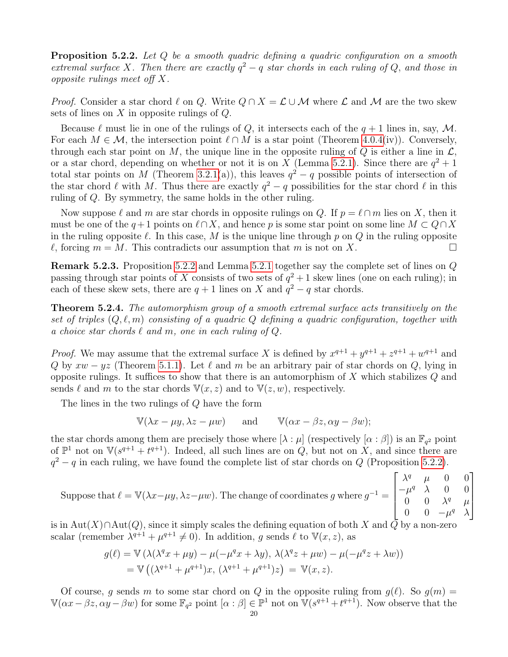<span id="page-19-0"></span>**Proposition 5.2.2.** Let  $Q$  be a smooth quadric defining a quadric configuration on a smooth extremal surface X. Then there are exactly  $q^2 - q$  star chords in each ruling of Q, and those in opposite rulings meet off X.

*Proof.* Consider a star chord  $\ell$  on Q. Write  $Q \cap X = \mathcal{L} \cup \mathcal{M}$  where  $\mathcal{L}$  and  $\mathcal{M}$  are the two skew sets of lines on  $X$  in opposite rulings of  $Q$ .

Because  $\ell$  must lie in one of the rulings of Q, it intersects each of the  $q + 1$  lines in, say, M. For each  $M \in \mathcal{M}$ , the intersection point  $\ell \cap M$  is a star point (Theorem [4.0.4\(](#page-12-0)iv)). Conversely, through each star point on M, the unique line in the opposite ruling of Q is either a line in  $\mathcal{L}$ , or a star chord, depending on whether or not it is on X (Lemma [5.2.1\)](#page-18-2). Since there are  $q^2 + 1$ total star points on M (Theorem [3.2.1\(](#page-7-1)a)), this leaves  $q^2 - q$  possible points of intersection of the star chord  $\ell$  with M. Thus there are exactly  $q^2 - q$  possibilities for the star chord  $\ell$  in this ruling of Q. By symmetry, the same holds in the other ruling.

Now suppose  $\ell$  and m are star chords in opposite rulings on Q. If  $p = \ell \cap m$  lies on X, then it must be one of the  $q+1$  points on  $\ell\cap X$ , and hence p is some star point on some line  $M\subset Q\cap X$ in the ruling opposite  $\ell$ . In this case, M is the unique line through p on Q in the ruling opposite  $\ell$ , forcing  $m = M$ . This contradicts our assumption that m is not on X.

<span id="page-19-2"></span>Remark 5.2.3. Proposition [5.2.2](#page-19-0) and Lemma [5.2.1](#page-18-2) together say the complete set of lines on Q passing through star points of X consists of two sets of  $q^2 + 1$  skew lines (one on each ruling); in each of these skew sets, there are  $q + 1$  lines on X and  $q^2 - q$  star chords.

<span id="page-19-1"></span>Theorem 5.2.4. The automorphism group of a smooth extremal surface acts transitively on the set of triples  $(Q, \ell, m)$  consisting of a quadric  $Q$  defining a quadric configuration, together with a choice star chords  $\ell$  and m, one in each ruling of  $Q$ .

*Proof.* We may assume that the extremal surface X is defined by  $x^{q+1} + y^{q+1} + z^{q+1} + w^{q+1}$  and Q by  $xw - yz$  (Theorem [5.1.1\)](#page-17-2). Let  $\ell$  and m be an arbitrary pair of star chords on Q, lying in opposite rulings. It suffices to show that there is an automorphism of  $X$  which stabilizes  $Q$  and sends  $\ell$  and m to the star chords  $V(x, z)$  and to  $V(z, w)$ , respectively.

The lines in the two rulings of Q have the form

 $\mathbb{V}(\lambda x - \mu y, \lambda z - \mu w)$  and  $\mathbb{V}(\alpha x - \beta z, \alpha y - \beta w);$ 

the star chords among them are precisely those where  $[\lambda : \mu]$  (respectively  $[\alpha : \beta]$ ) is an  $\mathbb{F}_{q^2}$  point of  $\mathbb{P}^1$  not on  $\mathbb{V}(s^{q+1} + t^{q+1})$ . Indeed, all such lines are on  $Q$ , but not on X, and since there are  $q^2 - q$  in each ruling, we have found the complete list of star chords on Q (Proposition [5.2.2\)](#page-19-0).

Suppose that 
$$
\ell = \mathbb{V}(\lambda x - \mu y, \lambda z - \mu w)
$$
. The change of coordinates  $g$  where  $g^{-1} = \begin{bmatrix} \lambda^q & \mu & 0 & 0 \\ -\mu^q & \lambda & 0 & 0 \\ 0 & 0 & \lambda^q & \mu \\ 0 & 0 & -\mu^q & \lambda \end{bmatrix}$ 

is in Aut(X)∩Aut(Q), since it simply scales the defining equation of both X and  $\overline{Q}$  by a non-zero scalar (remember  $\lambda^{q+1} + \mu^{q+1} \neq 0$ ). In addition, g sends  $\ell$  to  $\mathbb{V}(x, z)$ , as

$$
g(\ell) = \mathbb{V} \left( \lambda(\lambda^q x + \mu y) - \mu(-\mu^q x + \lambda y), \lambda(\lambda^q z + \mu w) - \mu(-\mu^q z + \lambda w) \right)
$$
  
=  $\mathbb{V} \left( (\lambda^{q+1} + \mu^{q+1}) x, (\lambda^{q+1} + \mu^{q+1}) z \right) = \mathbb{V}(x, z).$ 

Of course, g sends m to some star chord on Q in the opposite ruling from  $g(\ell)$ . So  $g(m) =$  $\mathbb{V}(\alpha x - \beta z, \alpha y - \beta w)$  for some  $\mathbb{F}_{q^2}$  point  $[\alpha : \beta] \in \mathbb{P}^1$  not on  $\mathbb{V}(s^{q+1} + t^{q+1})$ . Now observe that the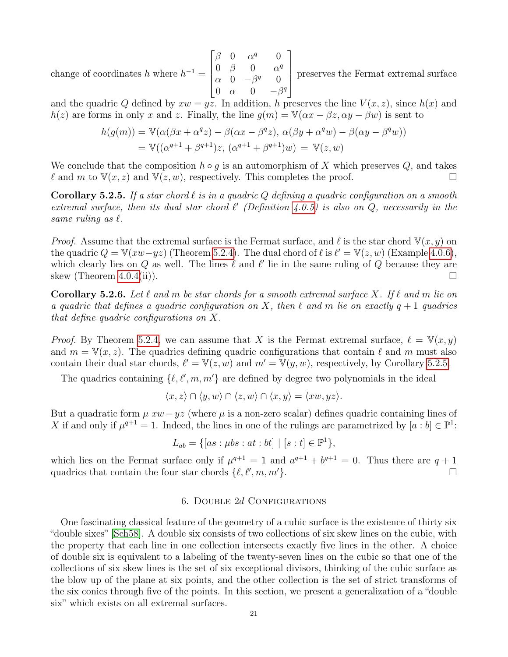change of coordinates h where  $h^{-1} =$  $\sqrt{ }$   $\beta$  0  $\alpha^q$  0 0  $\beta$  0  $\alpha^q$  $\alpha$  0  $-\beta^q$  0 0  $\alpha$  0  $-\beta^q$ 1 preserves the Fermat extremal surface

and the quadric Q defined by  $xw = yz$ . In addition, h preserves the line  $V(x, z)$ , since  $h(x)$  and  $h(z)$  are forms in only x and z. Finally, the line  $g(m) = \mathbb{V}(\alpha x - \beta z, \alpha y - \beta w)$  is sent to

$$
h(g(m)) = \mathbb{V}(\alpha(\beta x + \alpha^q z) - \beta(\alpha x - \beta^q z), \alpha(\beta y + \alpha^q w) - \beta(\alpha y - \beta^q w))
$$
  
=  $\mathbb{V}((\alpha^{q+1} + \beta^{q+1})z, (\alpha^{q+1} + \beta^{q+1})w) = \mathbb{V}(z, w)$ 

We conclude that the composition  $h \circ g$  is an automorphism of X which preserves Q, and takes  $\ell$  and m to  $\mathbb{V}(x, z)$  and  $\mathbb{V}(z, w)$ , respectively. This completes the proof.

<span id="page-20-1"></span>**Corollary 5.2.5.** If a star chord  $\ell$  is in a quadric Q defining a quadric configuration on a smooth extremal surface, then its dual star chord  $\ell'$  (Definition [4.0.5\)](#page-12-1) is also on Q, necessarily in the same ruling as  $\ell$ .

*Proof.* Assume that the extremal surface is the Fermat surface, and  $\ell$  is the star chord  $V(x, y)$  on the quadric  $Q = \mathbb{V}(xw - yz)$  (Theorem [5.2.4\)](#page-19-1). The dual chord of  $\ell$  is  $\ell' = \mathbb{V}(z, w)$  (Example [4.0.6\)](#page-12-2), which clearly lies on  $Q$  as well. The lines  $\ell$  and  $\ell'$  lie in the same ruling of  $Q$  because they are skew (Theorem [4.0.4\(](#page-12-0)ii)).

<span id="page-20-2"></span>**Corollary 5.2.6.** Let  $\ell$  and m be star chords for a smooth extremal surface X. If  $\ell$  and m lie on a quadric that defines a quadric configuration on X, then  $\ell$  and m lie on exactly  $q + 1$  quadrics that define quadric configurations on X.

*Proof.* By Theorem [5.2.4,](#page-19-1) we can assume that X is the Fermat extremal surface,  $\ell = V(x, y)$ and  $m = \mathbb{V}(x, z)$ . The quadrics defining quadric configurations that contain  $\ell$  and m must also contain their dual star chords,  $\ell' = \mathbb{V}(z, w)$  and  $m' = \mathbb{V}(y, w)$ , respectively, by Corollary [5.2.5.](#page-20-1)

The quadrics containing  $\{\ell, \ell', m, m'\}$  are defined by degree two polynomials in the ideal

$$
\langle x, z \rangle \cap \langle y, w \rangle \cap \langle z, w \rangle \cap \langle x, y \rangle = \langle xw, yz \rangle.
$$

But a quadratic form  $\mu xw - yz$  (where  $\mu$  is a non-zero scalar) defines quadric containing lines of X if and only if  $\mu^{q+1} = 1$ . Indeed, the lines in one of the rulings are parametrized by  $[a : b] \in \mathbb{P}^1$ :

$$
L_{ab} = \{ [as : \mu bs : at : bt] \mid [s : t] \in \mathbb{P}^1 \},
$$

which lies on the Fermat surface only if  $\mu^{q+1} = 1$  and  $a^{q+1} + b^{q+1} = 0$ . Thus there are  $q + 1$ quadrics that contain the four star chords  $\{\ell, \ell', m, m'\}.$ 

## 6. Double 2d Configurations

<span id="page-20-0"></span>One fascinating classical feature of the geometry of a cubic surface is the existence of thirty six "double sixes" [\[Sch58\]](#page-29-24). A double six consists of two collections of six skew lines on the cubic, with the property that each line in one collection intersects exactly five lines in the other. A choice of double six is equivalent to a labeling of the twenty-seven lines on the cubic so that one of the collections of six skew lines is the set of six exceptional divisors, thinking of the cubic surface as the blow up of the plane at six points, and the other collection is the set of strict transforms of the six conics through five of the points. In this section, we present a generalization of a "double six" which exists on all extremal surfaces.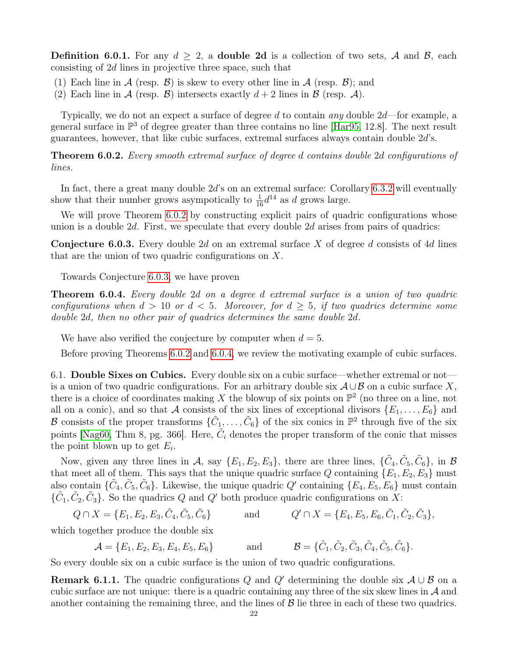<span id="page-21-3"></span>**Definition 6.0.1.** For any  $d \geq 2$ , a **double 2d** is a collection of two sets, A and B, each consisting of 2d lines in projective three space, such that

- (1) Each line in A (resp.  $\mathcal{B}$ ) is skew to every other line in A (resp.  $\mathcal{B}$ ); and
- (2) Each line in A (resp. B) intersects exactly  $d+2$  lines in B (resp. A).

Typically, we do not an expect a surface of degree d to contain any double  $2d$ —for example, a general surface in  $\mathbb{P}^3$  of degree greater than three contains no line [\[Har95,](#page-28-18) 12.8]. The next result guarantees, however, that like cubic surfaces, extremal surfaces always contain double 2d's.

<span id="page-21-0"></span>Theorem 6.0.2. Every smooth extremal surface of degree d contains double 2d configurations of lines.

In fact, there a great many double  $2d$ 's on an extremal surface: Corollary [6.3.2](#page-24-0) will eventually show that their number grows asympotically to  $\frac{1}{16}d^{14}$  as d grows large.

We will prove Theorem [6.0.2](#page-21-0) by constructing explicit pairs of quadric configurations whose union is a double  $2d$ . First, we speculate that every double  $2d$  arises from pairs of quadrics:

<span id="page-21-1"></span>**Conjecture 6.0.3.** Every double 2d on an extremal surface X of degree d consists of 4d lines that are the union of two quadric configurations on X.

Towards Conjecture [6.0.3,](#page-21-1) we have proven

<span id="page-21-2"></span>Theorem 6.0.4. Every double 2d on a degree d extremal surface is a union of two quadric configurations when  $d > 10$  or  $d < 5$ . Moreover, for  $d \geq 5$ , if two quadrics determine some double 2d, then no other pair of quadrics determines the same double 2d.

We have also verified the conjecture by computer when  $d = 5$ .

Before proving Theorems [6.0.2](#page-21-0) and [6.0.4,](#page-21-2) we review the motivating example of cubic surfaces.

<span id="page-21-5"></span>6.1. Double Sixes on Cubics. Every double six on a cubic surface—whether extremal or not is a union of two quadric configurations. For an arbitrary double six  $\mathcal{A} \cup \mathcal{B}$  on a cubic surface X, there is a choice of coordinates making X the blowup of six points on  $\mathbb{P}^2$  (no three on a line, not all on a conic), and so that A consists of the six lines of exceptional divisors  $\{E_1, \ldots, E_6\}$  and B consists of the proper transforms  $\{\tilde{C}_1,\ldots,\tilde{C}_6\}$  of the six conics in  $\mathbb{P}^2$  through five of the six points [\[Nag60,](#page-29-25) Thm 8, pg. 366]. Here,  $\tilde{C}_i$  denotes the proper transform of the conic that misses the point blown up to get  $E_i$ .

Now, given any three lines in A, say  $\{E_1, E_2, E_3\}$ , there are three lines,  $\{\tilde{C}_4, \tilde{C}_5, \tilde{C}_6\}$ , in B that meet all of them. This says that the unique quadric surface  $Q$  containing  $\{E_1, E_2, E_3\}$  must also contain  $\{\tilde{C}_4, \tilde{C}_5, \tilde{C}_6\}$ . Likewise, the unique quadric Q' containing  $\{E_4, E_5, E_6\}$  must contain  $\{\tilde{C}_1, \tilde{C}_2, \tilde{C}_3\}$ . So the quadrics Q and Q' both produce quadric configurations on X:

$$
Q \cap X = \{E_1, E_2, E_3, \tilde{C}_4, \tilde{C}_5, \tilde{C}_6\} \quad \text{and} \quad Q' \cap X = \{E_4, E_5, E_6, \tilde{C}_1, \tilde{C}_2, \tilde{C}_3\},
$$

which together produce the double six

$$
\mathcal{A} = \{E_1, E_2, E_3, E_4, E_5, E_6\} \quad \text{and} \quad \mathcal{B} = \{\tilde{C}_1, \tilde{C}_2, \tilde{C}_3, \tilde{C}_4, \tilde{C}_5, \tilde{C}_6\}.
$$

So every double six on a cubic surface is the union of two quadric configurations.

<span id="page-21-4"></span>**Remark 6.1.1.** The quadric configurations Q and Q' determining the double six  $\mathcal{A} \cup \mathcal{B}$  on a cubic surface are not unique: there is a quadric containing any three of the six skew lines in  $\mathcal A$  and another containing the remaining three, and the lines of  $\beta$  lie three in each of these two quadrics.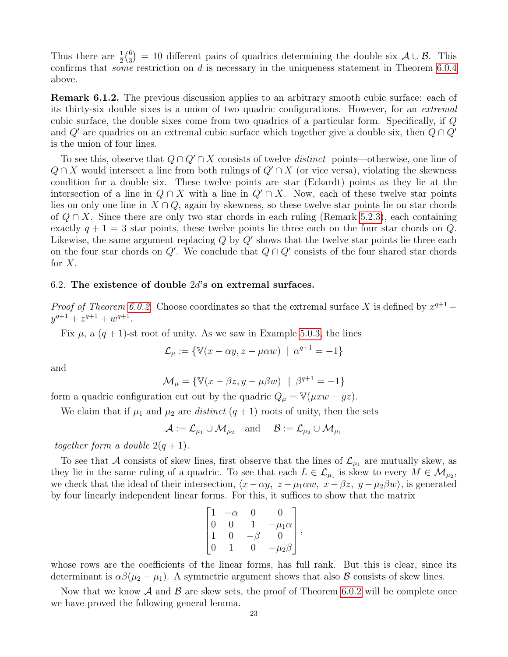Thus there are  $\frac{1}{2} \binom{6}{3}$  $S_3^{(6)} = 10$  different pairs of quadrics determining the double six  $\mathcal{A} \cup \mathcal{B}$ . This confirms that *some* restriction on d is necessary in the uniqueness statement in Theorem [6.0.4](#page-21-2) above.

<span id="page-22-0"></span>Remark 6.1.2. The previous discussion applies to an arbitrary smooth cubic surface: each of its thirty-six double sixes is a union of two quadric configurations. However, for an extremal cubic surface, the double sixes come from two quadrics of a particular form. Specifically, if Q and  $Q'$  are quadrics on an extremal cubic surface which together give a double six, then  $Q \cap Q'$ is the union of four lines.

To see this, observe that  $Q \cap Q' \cap X$  consists of twelve *distinct* points—otherwise, one line of  $Q \cap X$  would intersect a line from both rulings of  $Q' \cap X$  (or vice versa), violating the skewness condition for a double six. These twelve points are star (Eckardt) points as they lie at the intersection of a line in  $Q \cap X$  with a line in  $Q' \cap X$ . Now, each of these twelve star points lies on only one line in  $X \cap Q$ , again by skewness, so these twelve star points lie on star chords of  $Q \cap X$ . Since there are only two star chords in each ruling (Remark [5.2.3\)](#page-19-2), each containing exactly  $q + 1 = 3$  star points, these twelve points lie three each on the four star chords on Q. Likewise, the same argument replacing  $Q$  by  $Q'$  shows that the twelve star points lie three each on the four star chords on  $Q'$ . We conclude that  $Q \cap Q'$  consists of the four shared star chords for  $X$ .

### 6.2. The existence of double  $2d$ 's on extremal surfaces.

*Proof of Theorem [6.0.2.](#page-21-0)* Choose coordinates so that the extremal surface X is defined by  $x^{q+1}$  +  $y^{q+1} + z^{q+1} + w^{q+1}.$ 

Fix  $\mu$ , a  $(q + 1)$ -st root of unity. As we saw in Example [5.0.3,](#page-16-4) the lines

 $\mathcal{L}_{\mu} := \{ \mathbb{V}(x - \alpha y, z - \mu \alpha w) \mid \alpha^{q+1} = -1 \}$ 

and

$$
\mathcal{M}_{\mu} = \{ \mathbb{V}(x - \beta z, y - \mu \beta w) \mid \beta^{q+1} = -1 \}
$$

form a quadric configuration cut out by the quadric  $Q_{\mu} = \mathbb{V}(\mu xw - yz)$ .

We claim that if  $\mu_1$  and  $\mu_2$  are *distinct*  $(q + 1)$  roots of unity, then the sets

 $\mathcal{A} := \mathcal{L}_{\mu_1} \cup \mathcal{M}_{\mu_2}$  and  $\mathcal{B} := \mathcal{L}_{\mu_2} \cup \mathcal{M}_{\mu_1}$ 

together form a double  $2(q + 1)$ .

To see that A consists of skew lines, first observe that the lines of  $\mathcal{L}_{\mu_1}$  are mutually skew, as they lie in the same ruling of a quadric. To see that each  $L \in \mathcal{L}_{\mu_1}$  is skew to every  $M \in \mathcal{M}_{\mu_2}$ , we check that the ideal of their intersection,  $\langle x-\alpha y, z-\mu_1\alpha w, x-\beta z, y-\mu_2\beta w \rangle$ , is generated by four linearly independent linear forms. For this, it suffices to show that the matrix

$$
\begin{bmatrix} 1 & -\alpha & 0 & 0 \\ 0 & 0 & 1 & -\mu_1 \alpha \\ 1 & 0 & -\beta & 0 \\ 0 & 1 & 0 & -\mu_2 \beta \end{bmatrix},
$$

whose rows are the coefficients of the linear forms, has full rank. But this is clear, since its determinant is  $\alpha\beta(\mu_2-\mu_1)$ . A symmetric argument shows that also B consists of skew lines.

Now that we know  $\mathcal A$  and  $\mathcal B$  are skew sets, the proof of Theorem [6.0.2](#page-21-0) will be complete once we have proved the following general lemma.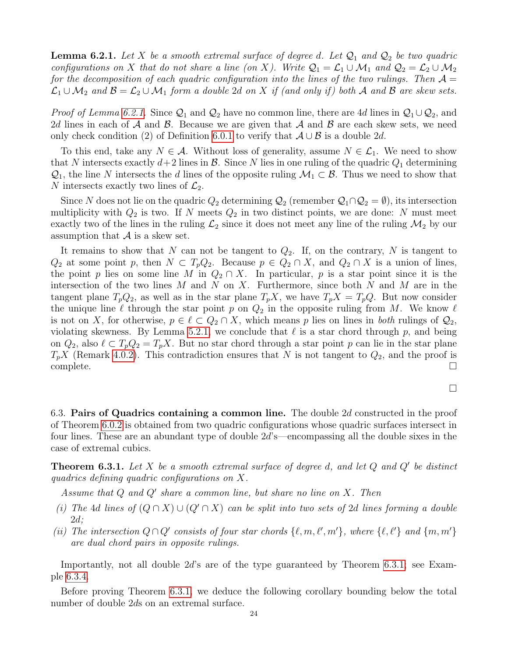<span id="page-23-0"></span>**Lemma 6.2.1.** Let X be a smooth extremal surface of degree d. Let  $\mathcal{Q}_1$  and  $\mathcal{Q}_2$  be two quadric configurations on X that do not share a line (on X). Write  $\mathcal{Q}_1 = \mathcal{L}_1 \cup \mathcal{M}_1$  and  $\mathcal{Q}_2 = \mathcal{L}_2 \cup \mathcal{M}_2$ for the decomposition of each quadric configuration into the lines of the two rulings. Then  $\mathcal{A} =$  $\mathcal{L}_1 \cup \mathcal{M}_2$  and  $\mathcal{B} = \mathcal{L}_2 \cup \mathcal{M}_1$  form a double 2d on X if (and only if) both A and B are skew sets.

*Proof of Lemma [6.2.1.](#page-23-0)* Since  $Q_1$  and  $Q_2$  have no common line, there are 4d lines in  $Q_1 \cup Q_2$ , and 2d lines in each of  $A$  and  $B$ . Because we are given that  $A$  and  $B$  are each skew sets, we need only check condition (2) of Definition [6.0.1](#page-21-3) to verify that  $\mathcal{A} \cup \mathcal{B}$  is a double 2d.

To this end, take any  $N \in \mathcal{A}$ . Without loss of generality, assume  $N \in \mathcal{L}_1$ . We need to show that N intersects exactly  $d+2$  lines in  $\mathcal{B}$ . Since N lies in one ruling of the quadric  $Q_1$  determining  $\mathcal{Q}_1$ , the line N intersects the d lines of the opposite ruling  $\mathcal{M}_1 \subset \mathcal{B}$ . Thus we need to show that N intersects exactly two lines of  $\mathcal{L}_2$ .

Since N does not lie on the quadric  $Q_2$  determining  $\mathcal{Q}_2$  (remember  $\mathcal{Q}_1 \cap \mathcal{Q}_2 = \emptyset$ ), its intersection multiplicity with  $Q_2$  is two. If N meets  $Q_2$  in two distinct points, we are done: N must meet exactly two of the lines in the ruling  $\mathcal{L}_2$  since it does not meet any line of the ruling  $\mathcal{M}_2$  by our assumption that  $A$  is a skew set.

It remains to show that N can not be tangent to  $Q_2$ . If, on the contrary, N is tangent to  $Q_2$  at some point p, then  $N \subset T_pQ_2$ . Because  $p \in Q_2 \cap X$ , and  $Q_2 \cap X$  is a union of lines, the point p lies on some line M in  $Q_2 \cap X$ . In particular, p is a star point since it is the intersection of the two lines  $M$  and  $N$  on  $X$ . Furthermore, since both  $N$  and  $M$  are in the tangent plane  $T_pQ_2$ , as well as in the star plane  $T_pX$ , we have  $T_pX = T_pQ$ . But now consider the unique line  $\ell$  through the star point p on  $Q_2$  in the opposite ruling from M. We know  $\ell$ is not on X, for otherwise,  $p \in \ell \subset Q_2 \cap X$ , which means p lies on lines in both rulings of  $Q_2$ , violating skewness. By Lemma [5.2.1,](#page-18-2) we conclude that  $\ell$  is a star chord through p, and being on  $Q_2$ , also  $\ell \subset T_pQ_2 = T_pX$ . But no star chord through a star point p can lie in the star plane  $T_pX$  (Remark [4.0.2\)](#page-11-3). This contradiction ensures that N is not tangent to  $Q_2$ , and the proof is  $\Box$ complete.  $\Box$ 

6.3. Pairs of Quadrics containing a common line. The double 2d constructed in the proof of Theorem [6.0.2](#page-21-0) is obtained from two quadric configurations whose quadric surfaces intersect in four lines. These are an abundant type of double 2d's—encompassing all the double sixes in the case of extremal cubics.

<span id="page-23-1"></span>**Theorem 6.3.1.** Let X be a smooth extremal surface of degree d, and let  $Q$  and  $Q'$  be distinct quadrics defining quadric configurations on X.

Assume that  $Q$  and  $Q'$  share a common line, but share no line on  $X$ . Then

- (i) The 4d lines of  $(Q \cap X) \cup (Q' \cap X)$  can be split into two sets of 2d lines forming a double  $2d$ :
- (ii) The intersection  $Q \cap Q'$  consists of four star chords  $\{\ell, m, \ell', m'\}$ , where  $\{\ell, \ell'\}$  and  $\{m, m'\}$ are dual chord pairs in opposite rulings.

Importantly, not all double 2d's are of the type guaranteed by Theorem [6.3.1;](#page-23-1) see Example [6.3.4.](#page-25-0)

Before proving Theorem [6.3.1,](#page-23-1) we deduce the following corollary bounding below the total number of double 2ds on an extremal surface.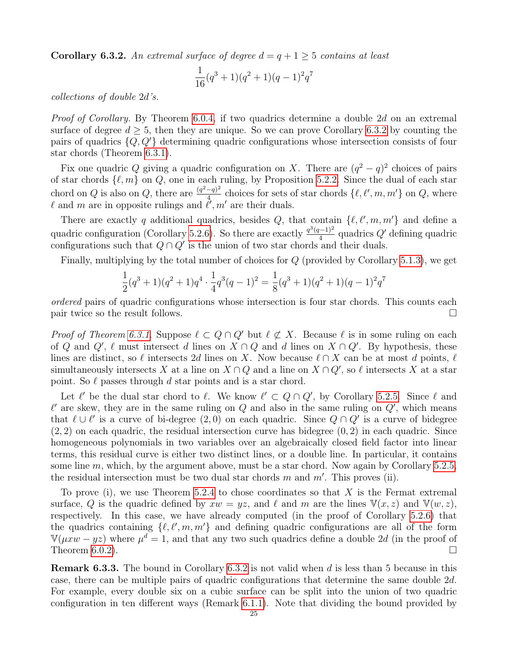<span id="page-24-0"></span>**Corollary 6.3.2.** An extremal surface of degree  $d = q + 1 \geq 5$  contains at least

$$
\frac{1}{16}(q^3+1)(q^2+1)(q-1)^2q^7
$$

collections of double 2d's.

Proof of Corollary. By Theorem [6.0.4,](#page-21-2) if two quadrics determine a double 2d on an extremal surface of degree  $d \geq 5$ , then they are unique. So we can prove Corollary [6.3.2](#page-24-0) by counting the pairs of quadrics  $\{Q, Q'\}$  determining quadric configurations whose intersection consists of four star chords (Theorem [6.3.1\)](#page-23-1).

Fix one quadric Q giving a quadric configuration on X. There are  $(q^2 - q)^2$  choices of pairs of star chords  $\{\ell, m\}$  on Q, one in each ruling, by Proposition [5.2.2.](#page-19-0) Since the dual of each star chord on Q is also on Q, there are  $\frac{(q^2-q)^2}{4}$  $\frac{(-q)^2}{4}$  choices for sets of star chords  $\{\ell, \ell', m, m'\}$  on  $Q$ , where  $\ell$  and m are in opposite rulings and  $\ell', m'$  are their duals.

There are exactly q additional quadrics, besides Q, that contain  $\{\ell, \ell', m, m'\}$  and define a quadric configuration (Corollary [5.2.6\)](#page-20-2). So there are exactly  $\frac{q^3(q-1)^2}{4}$  $\frac{q^{(-1)^2}}{4}$  quadrics  $Q'$  defining quadric configurations such that  $Q \cap Q'$  is the union of two star chords and their duals.

Finally, multiplying by the total number of choices for  $Q$  (provided by Corollary [5.1.3\)](#page-18-0), we get

$$
\frac{1}{2}(q^3+1)(q^2+1)q^4 \cdot \frac{1}{4}q^3(q-1)^2 = \frac{1}{8}(q^3+1)(q^2+1)(q-1)^2q^7
$$

ordered pairs of quadric configurations whose intersection is four star chords. This counts each pair twice so the result follows.  $\Box$ 

*Proof of Theorem [6.3.1.](#page-23-1)* Suppose  $\ell \subset Q \cap Q'$  but  $\ell \not\subset X$ . Because  $\ell$  is in some ruling on each of Q and Q',  $\ell$  must intersect d lines on  $X \cap Q$  and d lines on  $X \cap Q'$ . By hypothesis, these lines are distinct, so  $\ell$  intersects 2d lines on X. Now because  $\ell \cap X$  can be at most d points,  $\ell$ simultaneously intersects X at a line on  $X \cap Q$  and a line on  $X \cap Q'$ , so  $\ell$  intersects X at a star point. So  $\ell$  passes through d star points and is a star chord.

Let  $\ell'$  be the dual star chord to  $\ell$ . We know  $\ell' \subset Q \cap Q'$ , by Corollary [5.2.5.](#page-20-1) Since  $\ell$  and  $\ell'$  are skew, they are in the same ruling on  $Q$  and also in the same ruling on  $Q'$ , which means that  $\ell \cup \ell'$  is a curve of bi-degree  $(2, 0)$  on each quadric. Since  $Q \cap Q'$  is a curve of bidegree  $(2, 2)$  on each quadric, the residual intersection curve has bidegree  $(0, 2)$  in each quadric. Since homogeneous polynomials in two variables over an algebraically closed field factor into linear terms, this residual curve is either two distinct lines, or a double line. In particular, it contains some line m, which, by the argument above, must be a star chord. Now again by Corollary  $5.2.5$ , the residual intersection must be two dual star chords  $m$  and  $m'$ . This proves (ii).

To prove (i), we use Theorem [5.2.4](#page-19-1) to chose coordinates so that  $X$  is the Fermat extremal surface, Q is the quadric defined by  $xw = yz$ , and  $\ell$  and m are the lines  $\mathbb{V}(x, z)$  and  $\mathbb{V}(w, z)$ , respectively. In this case, we have already computed (in the proof of Corollary [5.2.6\)](#page-20-2) that the quadrics containing  $\{\ell, \ell', m, m'\}$  and defining quadric configurations are all of the form  $\mathbb{V}(\mu xw - yz)$  where  $\mu^d = 1$ , and that any two such quadrics define a double 2d (in the proof of Theorem [6.0.2\)](#page-21-0).

**Remark 6.3.3.** The bound in Corollary [6.3.2](#page-24-0) is not valid when d is less than 5 because in this case, there can be multiple pairs of quadric configurations that determine the same double 2d. For example, every double six on a cubic surface can be split into the union of two quadric configuration in ten different ways (Remark [6.1.1\)](#page-21-4). Note that dividing the bound provided by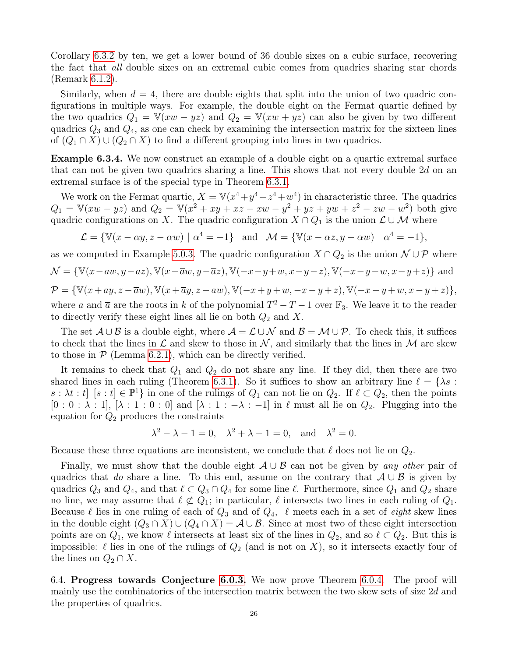Corollary [6.3.2](#page-24-0) by ten, we get a lower bound of 36 double sixes on a cubic surface, recovering the fact that all double sixes on an extremal cubic comes from quadrics sharing star chords (Remark [6.1.2\)](#page-22-0).

Similarly, when  $d = 4$ , there are double eights that split into the union of two quadric configurations in multiple ways. For example, the double eight on the Fermat quartic defined by the two quadrics  $Q_1 = V(xw - yz)$  and  $Q_2 = V(xw + yz)$  can also be given by two different quadrics  $Q_3$  and  $Q_4$ , as one can check by examining the intersection matrix for the sixteen lines of  $(Q_1 \cap X) \cup (Q_2 \cap X)$  to find a different grouping into lines in two quadrics.

<span id="page-25-0"></span>Example 6.3.4. We now construct an example of a double eight on a quartic extremal surface that can not be given two quadrics sharing a line. This shows that not every double  $2d$  on an extremal surface is of the special type in Theorem [6.3.1.](#page-23-1)

We work on the Fermat quartic,  $X = \mathbb{V}(x^4 + y^4 + z^4 + w^4)$  in characteristic three. The quadrics  $Q_1 = \mathbb{V}(xw - yz)$  and  $Q_2 = \mathbb{V}(x^2 + xy + xz - xw - y^2 + yz + yw + z^2 - zw - w^2)$  both give quadric configurations on X. The quadric configuration  $X \cap Q_1$  is the union  $\mathcal{L} \cup \mathcal{M}$  where

$$
\mathcal{L} = \{ \mathbb{V}(x - \alpha y, z - \alpha w) \mid \alpha^4 = -1 \} \quad \text{and} \quad \mathcal{M} = \{ \mathbb{V}(x - \alpha z, y - \alpha w) \mid \alpha^4 = -1 \},
$$

as we computed in Example [5.0.3.](#page-16-4) The quadric configuration  $X \cap Q_2$  is the union  $\mathcal{N} \cup \mathcal{P}$  where

$$
\mathcal{N}=\{\mathbb{V}(x-aw,y-az),\mathbb{V}(x-\overline{a}w,y-\overline{a}z),\mathbb{V}(-x-y+w,x-y-z),\mathbb{V}(-x-y-w,x-y+z)\} \text{ and }
$$

 $\mathcal{P} = \{\mathbb{V}(x+ay,z-\overline{a}w), \mathbb{V}(x+\overline{a}y,z-aw), \mathbb{V}(-x+y+w,-x-y+z), \mathbb{V}(-x-y+w,x-y+z)\},\$ where a and  $\bar{a}$  are the roots in k of the polynomial  $T^2 - T - 1$  over  $\mathbb{F}_3$ . We leave it to the reader to directly verify these eight lines all lie on both  $Q_2$  and X.

The set  $\mathcal{A} \cup \mathcal{B}$  is a double eight, where  $\mathcal{A} = \mathcal{L} \cup \mathcal{N}$  and  $\mathcal{B} = \mathcal{M} \cup \mathcal{P}$ . To check this, it suffices to check that the lines in  $\mathcal L$  and skew to those in  $\mathcal N$ , and similarly that the lines in  $\mathcal M$  are skew to those in  $P$  (Lemma [6.2.1\)](#page-23-0), which can be directly verified.

It remains to check that  $Q_1$  and  $Q_2$  do not share any line. If they did, then there are two shared lines in each ruling (Theorem [6.3.1\)](#page-23-1). So it suffices to show an arbitrary line  $\ell = \{\lambda s :$  $s : \lambda t : t \in [s : t] \in \mathbb{P}^1$  in one of the rulings of  $Q_1$  can not lie on  $Q_2$ . If  $\ell \subset Q_2$ , then the points  $[0:0:\lambda:1], [\lambda:1:0:0]$  and  $[\lambda:1:-\lambda:-1]$  in  $\ell$  must all lie on  $Q_2$ . Plugging into the equation for  $Q_2$  produces the constraints

$$
\lambda^2 - \lambda - 1 = 0, \quad \lambda^2 + \lambda - 1 = 0, \quad \text{and} \quad \lambda^2 = 0.
$$

Because these three equations are inconsistent, we conclude that  $\ell$  does not lie on  $Q_2$ .

Finally, we must show that the double eight  $A \cup B$  can not be given by any other pair of quadrics that do share a line. To this end, assume on the contrary that  $A \cup B$  is given by quadrics  $Q_3$  and  $Q_4$ , and that  $\ell \subset Q_3 \cap Q_4$  for some line  $\ell$ . Furthermore, since  $Q_1$  and  $Q_2$  share no line, we may assume that  $\ell \not\subset Q_1$ ; in particular,  $\ell$  intersects two lines in each ruling of  $Q_1$ . Because  $\ell$  lies in one ruling of each of  $Q_3$  and of  $Q_4$ ,  $\ell$  meets each in a set of *eight* skew lines in the double eight  $(Q_3 \cap X) \cup (Q_4 \cap X) = A \cup B$ . Since at most two of these eight intersection points are on  $Q_1$ , we know  $\ell$  intersects at least six of the lines in  $Q_2$ , and so  $\ell \subset Q_2$ . But this is impossible:  $\ell$  lies in one of the rulings of  $Q_2$  (and is not on X), so it intersects exactly four of the lines on  $Q_2 \cap X$ .

6.4. Progress towards Conjecture [6.0.3.](#page-21-1) We now prove Theorem [6.0.4.](#page-21-2) The proof will mainly use the combinatorics of the intersection matrix between the two skew sets of size 2d and the properties of quadrics.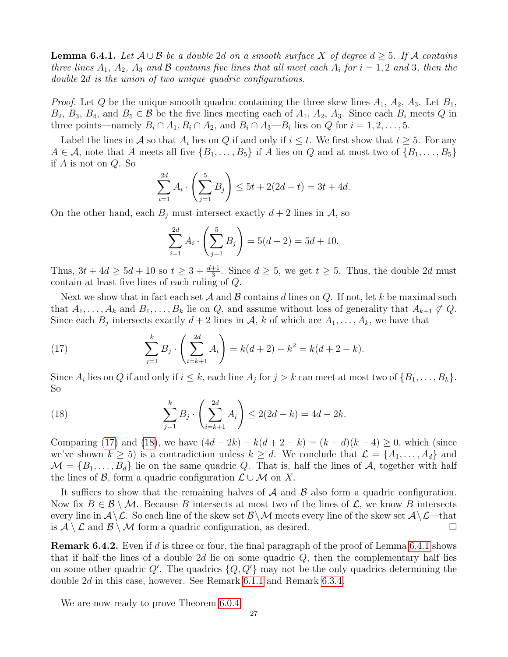<span id="page-26-2"></span>**Lemma 6.4.1.** Let  $A \cup B$  be a double 2d on a smooth surface X of degree  $d \geq 5$ . If A contains three lines  $A_1$ ,  $A_2$ ,  $A_3$  and  $B$  contains five lines that all meet each  $A_i$  for  $i = 1, 2$  and 3, then the double 2d is the union of two unique quadric configurations.

*Proof.* Let Q be the unique smooth quadric containing the three skew lines  $A_1$ ,  $A_2$ ,  $A_3$ . Let  $B_1$ ,  $B_2, B_3, B_4$ , and  $B_5 \in \mathcal{B}$  be the five lines meeting each of  $A_1, A_2, A_3$ . Since each  $B_i$  meets Q in three points—namely  $B_i \cap A_1, B_i \cap A_2$ , and  $B_i \cap A_3$ — $B_i$  lies on Q for  $i = 1, 2, ..., 5$ .

Label the lines in A so that  $A_i$  lies on Q if and only if  $i \leq t$ . We first show that  $t \geq 5$ . For any  $A \in \mathcal{A}$ , note that A meets all five  $\{B_1, \ldots, B_5\}$  if A lies on Q and at most two of  $\{B_1, \ldots, B_5\}$ if A is not on Q. So

$$
\sum_{i=1}^{2d} A_i \cdot \left(\sum_{j=1}^5 B_j\right) \le 5t + 2(2d - t) = 3t + 4d.
$$

On the other hand, each  $B_j$  must intersect exactly  $d+2$  lines in A, so

$$
\sum_{i=1}^{2d} A_i \cdot \left(\sum_{j=1}^5 B_j\right) = 5(d+2) = 5d + 10.
$$

Thus,  $3t + 4d \ge 5d + 10$  so  $t \ge 3 + \frac{d+1}{3}$ . Since  $d \ge 5$ , we get  $t \ge 5$ . Thus, the double 2d must contain at least five lines of each ruling of Q.

Next we show that in fact each set  $A$  and  $B$  contains d lines on  $Q$ . If not, let k be maximal such that  $A_1, \ldots, A_k$  and  $B_1, \ldots, B_k$  lie on Q, and assume without loss of generality that  $A_{k+1} \not\subset Q$ . Since each  $B_j$  intersects exactly  $d+2$  lines in  $\mathcal{A}, k$  of which are  $A_1, \ldots, A_k$ , we have that

<span id="page-26-0"></span>(17) 
$$
\sum_{j=1}^{k} B_j \cdot \left( \sum_{i=k+1}^{2d} A_i \right) = k(d+2) - k^2 = k(d+2-k).
$$

Since  $A_i$  lies on Q if and only if  $i \leq k$ , each line  $A_j$  for  $j > k$  can meet at most two of  $\{B_1, \ldots, B_k\}$ . So

<span id="page-26-1"></span>(18) 
$$
\sum_{j=1}^{k} B_j \cdot \left(\sum_{i=k+1}^{2d} A_i\right) \le 2(2d-k) = 4d - 2k.
$$

Comparing [\(17\)](#page-26-0) and [\(18\)](#page-26-1), we have  $(4d - 2k) - k(d + 2 - k) = (k - d)(k - 4) \ge 0$ , which (since we've shown  $k \geq 5$ ) is a contradiction unless  $k \geq d$ . We conclude that  $\mathcal{L} = \{A_1, \ldots, A_d\}$  and  $\mathcal{M} = \{B_1, \ldots, B_d\}$  lie on the same quadric Q. That is, half the lines of A, together with half the lines of B, form a quadric configuration  $\mathcal{L} \cup \mathcal{M}$  on X.

It suffices to show that the remaining halves of  $A$  and  $B$  also form a quadric configuration. Now fix  $B \in \mathcal{B} \setminus \mathcal{M}$ . Because B intersects at most two of the lines of  $\mathcal{L}$ , we know B intersects every line in  $A \setminus \mathcal{L}$ . So each line of the skew set  $\mathcal{B} \setminus \mathcal{M}$  meets every line of the skew set  $A \setminus \mathcal{L}$ —that is  $A \setminus \mathcal{L}$  and  $B \setminus \mathcal{M}$  form a quadric configuration, as desired.

<span id="page-26-3"></span>**Remark 6.4.2.** Even if d is three or four, the final paragraph of the proof of Lemma [6.4.1](#page-26-2) shows that if half the lines of a double 2d lie on some quadric  $Q$ , then the complementary half lies on some other quadric  $Q'$ . The quadrics  $\{Q, Q'\}$  may not be the only quadrics determining the double 2d in this case, however. See Remark [6.1.1](#page-21-4) and Remark [6.3.4.](#page-25-0)

We are now ready to prove Theorem [6.0.4.](#page-21-2)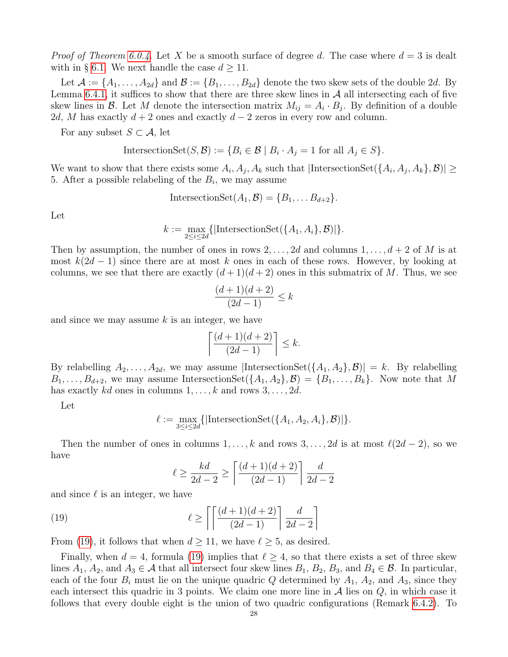*Proof of Theorem [6.0.4.](#page-21-2)* Let X be a smooth surface of degree d. The case where  $d = 3$  is dealt with in § [6.1.](#page-21-5) We next handle the case  $d \geq 11$ .

Let  $\mathcal{A} := \{A_1, \ldots, A_{2d}\}\$ and  $\mathcal{B} := \{B_1, \ldots, B_{2d}\}\$ denote the two skew sets of the double 2d. By Lemma [6.4.1,](#page-26-2) it suffices to show that there are three skew lines in  $\mathcal A$  all intersecting each of five skew lines in  $\mathcal{B}$ . Let M denote the intersection matrix  $M_{ij} = A_i \cdot B_j$ . By definition of a double 2d, M has exactly  $d + 2$  ones and exactly  $d - 2$  zeros in every row and column.

For any subset  $S \subset \mathcal{A}$ , let

$$
IntersectionSet(S, \mathcal{B}) := \{ B_i \in \mathcal{B} \mid B_i \cdot A_j = 1 \text{ for all } A_j \in S \}.
$$

We want to show that there exists some  $A_i, A_j, A_k$  such that  $|\text{IntersectionSet}(\{A_i, A_j, A_k\}, \mathcal{B})| \ge$ 5. After a possible relabeling of the  $B_i$ , we may assume

$$
IntersectionSet(A_1, \mathcal{B}) = \{B_1, \ldots B_{d+2}\}.
$$

Let

$$
k := \max_{2 \leq i \leq 2d} \{|\text{IntersectionSet}(\{A_1, A_i\}, \mathcal{B})|\}.
$$

Then by assumption, the number of ones in rows  $2, \ldots, 2d$  and columns  $1, \ldots, d+2$  of M is at most  $k(2d-1)$  since there are at most k ones in each of these rows. However, by looking at columns, we see that there are exactly  $(d+1)(d+2)$  ones in this submatrix of M. Thus, we see

$$
\frac{(d+1)(d+2)}{(2d-1)} \le k
$$

and since we may assume  $k$  is an integer, we have

$$
\left\lceil \frac{(d+1)(d+2)}{(2d-1)} \right\rceil \leq k.
$$

By relabelling  $A_2, \ldots, A_{2d}$ , we may assume  $|\text{IntersectionSet}(\{A_1, A_2\}, \mathcal{B})| = k$ . By relabelling  $B_1, \ldots, B_{d+2}$ , we may assume IntersectionSet $(\{A_1, A_2\}, \mathcal{B}) = \{B_1, \ldots, B_k\}$ . Now note that M has exactly kd ones in columns  $1, \ldots, k$  and rows  $3, \ldots, 2d$ .

Let

$$
\ell := \max_{3 \leq i \leq 2d} \{|\text{IntersectionSet}(\{A_1, A_2, A_i\}, \mathcal{B})|\}.
$$

Then the number of ones in columns  $1, \ldots, k$  and rows  $3, \ldots, 2d$  is at most  $\ell(2d - 2)$ , so we have

<span id="page-27-0"></span>
$$
\ell \ge \frac{kd}{2d-2} \ge \left\lceil \frac{(d+1)(d+2)}{(2d-1)} \right\rceil \frac{d}{2d-2}
$$

and since  $\ell$  is an integer, we have

(19) 
$$
\ell \ge \left\lceil \left\lceil \frac{(d+1)(d+2)}{(2d-1)} \right\rceil \frac{d}{2d-2} \right\rceil
$$

From [\(19\)](#page-27-0), it follows that when  $d \ge 11$ , we have  $\ell \ge 5$ , as desired.

Finally, when  $d = 4$ , formula [\(19\)](#page-27-0) implies that  $\ell \geq 4$ , so that there exists a set of three skew lines  $A_1$ ,  $A_2$ , and  $A_3 \in \mathcal{A}$  that all intersect four skew lines  $B_1$ ,  $B_2$ ,  $B_3$ , and  $B_4 \in \mathcal{B}$ . In particular, each of the four  $B_i$  must lie on the unique quadric Q determined by  $A_1$ ,  $A_2$ , and  $A_3$ , since they each intersect this quadric in 3 points. We claim one more line in  $A$  lies on  $Q$ , in which case it follows that every double eight is the union of two quadric configurations (Remark [6.4.2\)](#page-26-3). To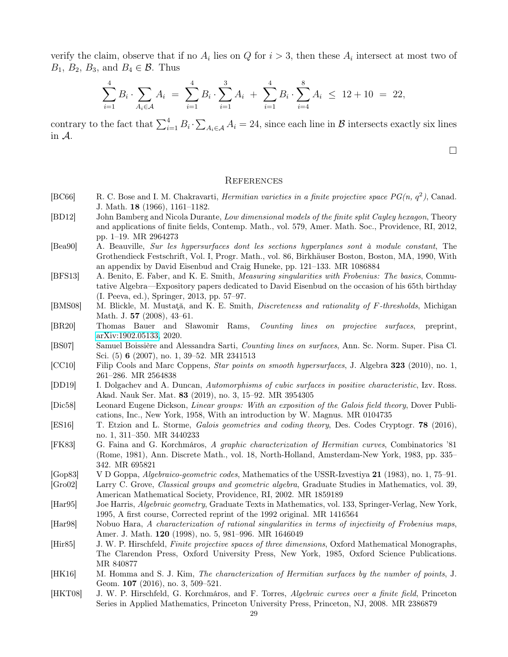verify the claim, observe that if no  $A_i$  lies on Q for  $i > 3$ , then these  $A_i$  intersect at most two of  $B_1, B_2, B_3$ , and  $B_4 \in \mathcal{B}$ . Thus

$$
\sum_{i=1}^{4} B_i \cdot \sum_{A_i \in \mathcal{A}} A_i = \sum_{i=1}^{4} B_i \cdot \sum_{i=1}^{3} A_i + \sum_{i=1}^{4} B_i \cdot \sum_{i=4}^{8} A_i \le 12 + 10 = 22,
$$

contrary to the fact that  $\sum_{i=1}^{4} B_i \cdot \sum_{A_i \in \mathcal{A}} A_i = 24$ , since each line in  $\mathcal{B}$  intersects exactly six lines in A.

 $\Box$ 

#### **REFERENCES**

- <span id="page-28-7"></span>[BC66] R. C. Bose and I. M. Chakravarti, *Hermitian varieties in a finite projective space*  $PG(n, q^2)$ , Canad. J. Math. 18 (1966), 1161–1182.
- <span id="page-28-16"></span>[BD12] John Bamberg and Nicola Durante, Low dimensional models of the finite split Cayley hexagon, Theory and applications of finite fields, Contemp. Math., vol. 579, Amer. Math. Soc., Providence, RI, 2012, pp. 1–19. MR 2964273
- <span id="page-28-14"></span>[Bea90] A. Beauville, Sur les hypersurfaces dont les sections hyperplanes sont à module constant, The Grothendieck Festschrift, Vol. I, Progr. Math., vol. 86, Birkhäuser Boston, Boston, MA, 1990, With an appendix by David Eisenbud and Craig Huneke, pp. 121–133. MR 1086884
- <span id="page-28-1"></span>[BFS13] A. Benito, E. Faber, and K. E. Smith, *Measuring singularities with Frobenius: The basics*, Commutative Algebra—Expository papers dedicated to David Eisenbud on the occasion of his 65th birthday (I. Peeva, ed.), Springer, 2013, pp. 57–97.
- <span id="page-28-0"></span>[BMS08] M. Blickle, M. Mustata, and K. E. Smith, *Discreteness and rationality of F-thresholds*, Michigan Math. J. **57** (2008), 43-61.
- <span id="page-28-6"></span>[BR20] Thomas Bauer and Sławomir Rams, Counting lines on projective surfaces, preprint, [arXiv:1902.05133,](https://arxiv.org/abs/1902.05133) 2020.
- <span id="page-28-5"></span>[BS07] Samuel Boissière and Alessandra Sarti, Counting lines on surfaces, Ann. Sc. Norm. Super. Pisa Cl. Sci. (5) 6 (2007), no. 1, 39–52. MR 2341513
- <span id="page-28-15"></span>[CC10] Filip Cools and Marc Coppens, Star points on smooth hypersurfaces, J. Algebra 323 (2010), no. 1, 261–286. MR 2564838
- <span id="page-28-2"></span>[DD19] I. Dolgachev and A. Duncan, Automorphisms of cubic surfaces in positive characteristic, Izv. Ross. Akad. Nauk Ser. Mat. 83 (2019), no. 3, 15–92. MR 3954305
- <span id="page-28-17"></span>[Dic58] Leonard Eugene Dickson, Linear groups: With an exposition of the Galois field theory, Dover Publications, Inc., New York, 1958, With an introduction by W. Magnus. MR 0104735
- <span id="page-28-9"></span>[ES16] T. Etzion and L. Storme, Galois geometries and coding theory, Des. Codes Cryptogr. 78 (2016), no. 1, 311–350. MR 3440233
- <span id="page-28-12"></span>[FK83] G. Faina and G. Korchmáros, A graphic characterization of Hermitian curves, Combinatorics '81 (Rome, 1981), Ann. Discrete Math., vol. 18, North-Holland, Amsterdam-New York, 1983, pp. 335– 342. MR 695821
- <span id="page-28-8"></span>[Gop83] V D Goppa, Algebraico-geometric codes, Mathematics of the USSR-Izvestiya 21 (1983), no. 1, 75–91.
- <span id="page-28-13"></span>[Gro02] Larry C. Grove, Classical groups and geometric algebra, Graduate Studies in Mathematics, vol. 39, American Mathematical Society, Providence, RI, 2002. MR 1859189
- <span id="page-28-18"></span>[Har95] Joe Harris, Algebraic geometry, Graduate Texts in Mathematics, vol. 133, Springer-Verlag, New York, 1995, A first course, Corrected reprint of the 1992 original. MR 1416564
- <span id="page-28-3"></span>[Har98] Nobuo Hara, A characterization of rational singularities in terms of injectivity of Frobenius maps, Amer. J. Math. 120 (1998), no. 5, 981–996. MR 1646049
- <span id="page-28-4"></span>[Hir85] J. W. P. Hirschfeld, Finite projective spaces of three dimensions, Oxford Mathematical Monographs, The Clarendon Press, Oxford University Press, New York, 1985, Oxford Science Publications. MR 840877
- <span id="page-28-10"></span>[HK16] M. Homma and S. J. Kim, The characterization of Hermitian surfaces by the number of points, J. Geom. **107** (2016), no. 3, 509–521.
- <span id="page-28-11"></span>[HKT08] J. W. P. Hirschfeld, G. Korchmáros, and F. Torres, Algebraic curves over a finite field, Princeton Series in Applied Mathematics, Princeton University Press, Princeton, NJ, 2008. MR 2386879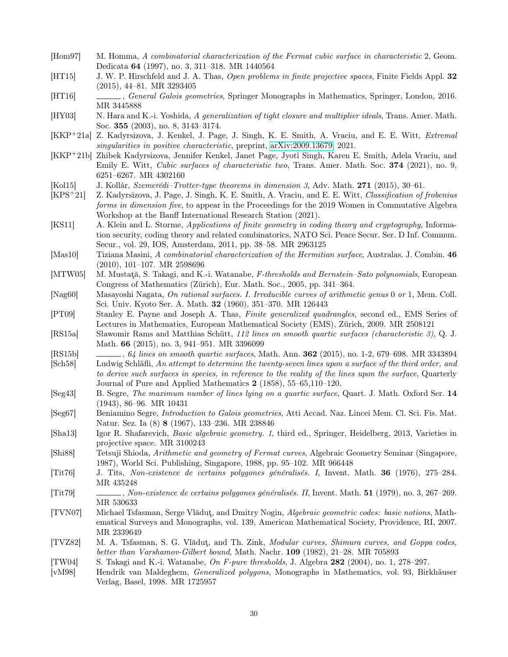- <span id="page-29-5"></span>[Hom97] M. Homma, A combinatorial characterization of the Fermat cubic surface in characteristic 2, Geom. Dedicata 64 (1997), no. 3, 311–318. MR 1440564
- <span id="page-29-14"></span>[HT15] J. W. P. Hirschfeld and J. A. Thas, Open problems in finite projective spaces, Finite Fields Appl. 32 (2015), 44–81. MR 3293405
- <span id="page-29-16"></span>[HT16] , General Galois geometries, Springer Monographs in Mathematics, Springer, London, 2016. MR 3445888
- <span id="page-29-3"></span>[HY03] N. Hara and K.-i. Yoshida, A generalization of tight closure and multiplier ideals, Trans. Amer. Math. Soc. 355 (2003), no. 8, 3143–3174.
- <span id="page-29-0"></span>[KKP+21a] Z. Kadyrsizova, J. Kenkel, J. Page, J. Singh, K. E. Smith, A. Vraciu, and E. E. Witt, Extremal singularities in positive characteristic, preprint, [arXiv:2009.13679,](https://arxiv.org/abs/2009.13679) 2021.
- <span id="page-29-1"></span>[KKP+21b] Zhibek Kadyrsizova, Jennifer Kenkel, Janet Page, Jyoti Singh, Karen E. Smith, Adela Vraciu, and Emily E. Witt, Cubic surfaces of characteristic two, Trans. Amer. Math. Soc. 374 (2021), no. 9, 6251–6267. MR 4302160
- <span id="page-29-20"></span>[Kol15] J. Kollár, Szemerédi–Trotter-type theorems in dimension 3, Adv. Math. 271 (2015), 30–61.
- <span id="page-29-21"></span>[KPS+21] Z. Kadyrsizova, J. Page, J. Singh, K. E. Smith, A. Vraciu, and E. E. Witt, Classification of frobenius forms in dimension five, to appear in the Proceedings for the 2019 Women in Commutative Algebra Workshop at the Banff International Research Station (2021).
- <span id="page-29-11"></span>[KS11] A. Klein and L. Storme, Applications of finite geometry in coding theory and cryptography, Information security, coding theory and related combinatorics, NATO Sci. Peace Secur. Ser. D Inf. Commun. Secur., vol. 29, IOS, Amsterdam, 2011, pp. 38–58. MR 2963125
- <span id="page-29-23"></span>[Mas10] Tiziana Masini, A combinatorial characterization of the Hermitian surface, Australas. J. Combin. 46 (2010), 101–107. MR 2598696
- <span id="page-29-4"></span>[MTW05] M. Mustată, S. Takagi, and K.-i. Watanabe, F-thresholds and Bernstein–Sato polynomials, European Congress of Mathematics (Zürich), Eur. Math. Soc., 2005, pp. 341–364.
- <span id="page-29-25"></span>[Nag60] Masayoshi Nagata, On rational surfaces. I. Irreducible curves of arithmetic genus 0 or 1, Mem. Coll. Sci. Univ. Kyoto Ser. A. Math. 32 (1960), 351–370. MR 126443
- <span id="page-29-13"></span>[PT09] Stanley E. Payne and Joseph A. Thas, Finite generalized quadrangles, second ed., EMS Series of Lectures in Mathematics, European Mathematical Society (EMS), Zürich, 2009. MR 2508121
- <span id="page-29-8"></span>[RS15a] Sławomir Rams and Matthias Schütt, 112 lines on smooth quartic surfaces (characteristic 3), Q. J. Math. 66 (2015), no. 3, 941–951. MR 3396099
- <span id="page-29-7"></span>[RS15b] , 64 lines on smooth quartic surfaces, Math. Ann. **362** (2015), no. 1-2, 679–698. MR 3343894
- <span id="page-29-24"></span>[Sch58] Ludwig Schläfli, An attempt to determine the twenty-seven lines upon a surface of the third order, and to derive such surfaces in species, in reference to the reality of the lines upon the surface, Quarterly Journal of Pure and Applied Mathematics 2 (1858), 55–65,110–120.
- <span id="page-29-6"></span>[Seg43] B. Segre, The maximum number of lines lying on a quartic surface, Quart. J. Math. Oxford Ser. 14 (1943), 86–96. MR 10431
- <span id="page-29-15"></span>[Seg67] Beniamino Segre, Introduction to Galois geometries, Atti Accad. Naz. Lincei Mem. Cl. Sci. Fis. Mat. Natur. Sez. Ia (8) 8 (1967), 133–236. MR 238846
- <span id="page-29-9"></span>[Sha13] Igor R. Shafarevich, Basic algebraic geometry. 1, third ed., Springer, Heidelberg, 2013, Varieties in projective space. MR 3100243
- <span id="page-29-22"></span>[Shi88] Tetsuji Shioda, Arithmetic and geometry of Fermat curves, Algebraic Geometry Seminar (Singapore, 1987), World Sci. Publishing, Singapore, 1988, pp. 95–102. MR 966448
- <span id="page-29-12"></span>[Tit76] J. Tits, Non-existence de certains polygones généralisés. I, Invent. Math. 36 (1976), 275–284. MR 435248
- <span id="page-29-18"></span>[Tit79] , Non-existence de certains polygones généralisés. II, Invent. Math. 51 (1979), no. 3, 267–269. MR 530633
- <span id="page-29-17"></span>[TVN07] Michael Tsfasman, Serge Vlăduţ, and Dmitry Nogin, Algebraic geometric codes: basic notions, Mathematical Surveys and Monographs, vol. 139, American Mathematical Society, Providence, RI, 2007. MR 2339649
- <span id="page-29-10"></span>[TVZ82] M. A. Tsfasman, S. G. Vlăduţ, and Th. Zink, Modular curves, Shimura curves, and Goppa codes, better than Varshamov-Gilbert bound, Math. Nachr. 109 (1982), 21–28. MR 705893
- <span id="page-29-2"></span>[TW04] S. Takagi and K.-i. Watanabe, On F-pure thresholds, J. Algebra 282 (2004), no. 1, 278–297.
- <span id="page-29-19"></span>[vM98] Hendrik van Maldeghem, Generalized polygons, Monographs in Mathematics, vol. 93, Birkhäuser Verlag, Basel, 1998. MR 1725957